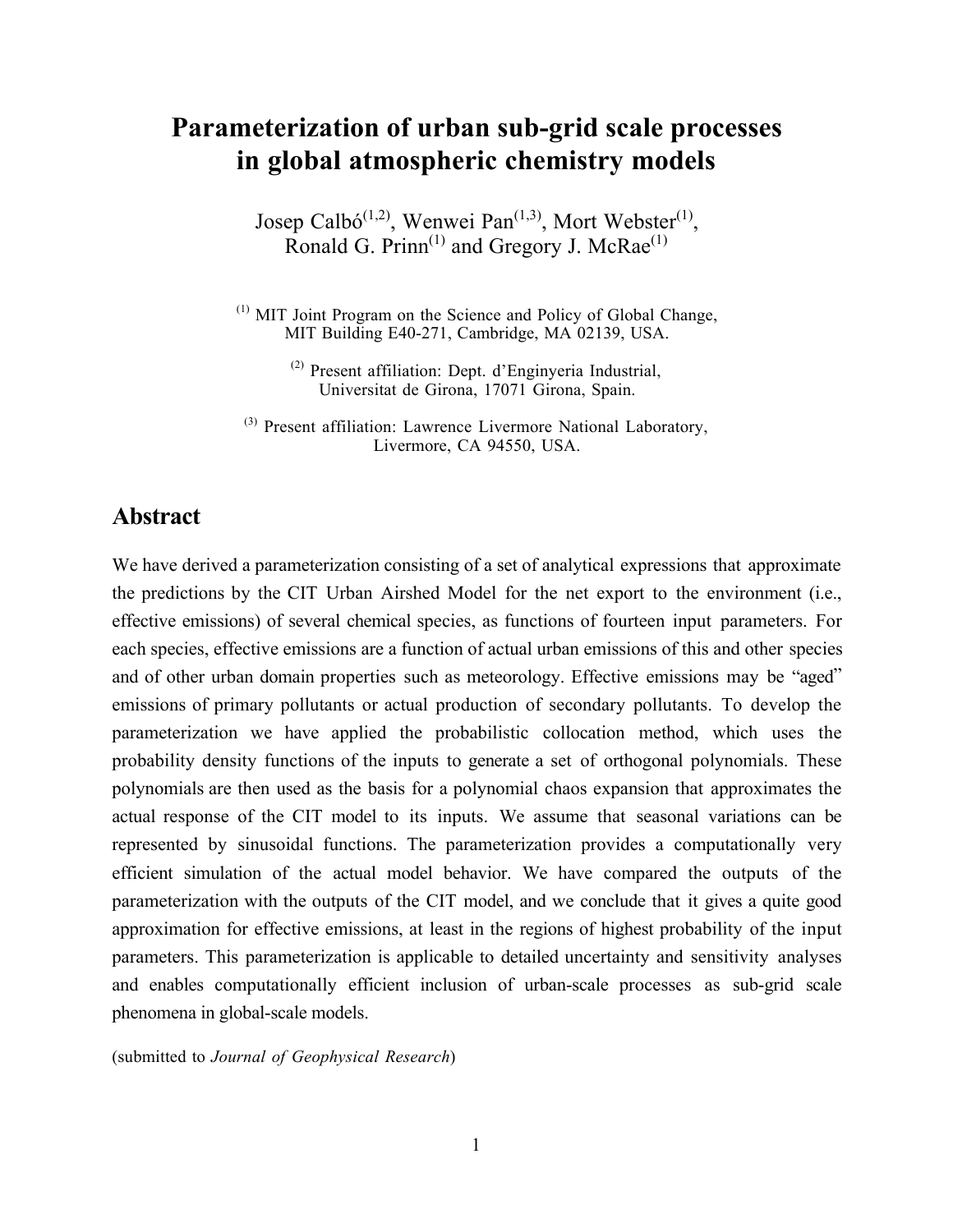# **Parameterization of urban sub-grid scale processes in global atmospheric chemistry models**

Josep Calbó<sup>(1,2)</sup>, Wenwei Pan<sup>(1,3)</sup>, Mort Webster<sup>(1)</sup>, Ronald G. Prinn<sup>(1)</sup> and Gregory J. McRae<sup>(1)</sup>

 $<sup>(1)</sup>$  MIT Joint Program on the Science and Policy of Global Change,</sup> MIT Building E40-271, Cambridge, MA 02139, USA.

> (2) Present affiliation: Dept. d'Enginyeria Industrial, Universitat de Girona, 17071 Girona, Spain.

<sup>(3)</sup> Present affiliation: Lawrence Livermore National Laboratory, Livermore, CA 94550, USA.

### **Abstract**

We have derived a parameterization consisting of a set of analytical expressions that approximate the predictions by the CIT Urban Airshed Model for the net export to the environment (i.e., effective emissions) of several chemical species, as functions of fourteen input parameters. For each species, effective emissions are a function of actual urban emissions of this and other species and of other urban domain properties such as meteorology. Effective emissions may be "aged" emissions of primary pollutants or actual production of secondary pollutants. To develop the parameterization we have applied the probabilistic collocation method, which uses the probability density functions of the inputs to generate a set of orthogonal polynomials. These polynomials are then used as the basis for a polynomial chaos expansion that approximates the actual response of the CIT model to its inputs. We assume that seasonal variations can be represented by sinusoidal functions. The parameterization provides a computationally very efficient simulation of the actual model behavior. We have compared the outputs of the parameterization with the outputs of the CIT model, and we conclude that it gives a quite good approximation for effective emissions, at least in the regions of highest probability of the input parameters. This parameterization is applicable to detailed uncertainty and sensitivity analyses and enables computationally efficient inclusion of urban-scale processes as sub-grid scale phenomena in global-scale models.

(submitted to *Journal of Geophysical Research*)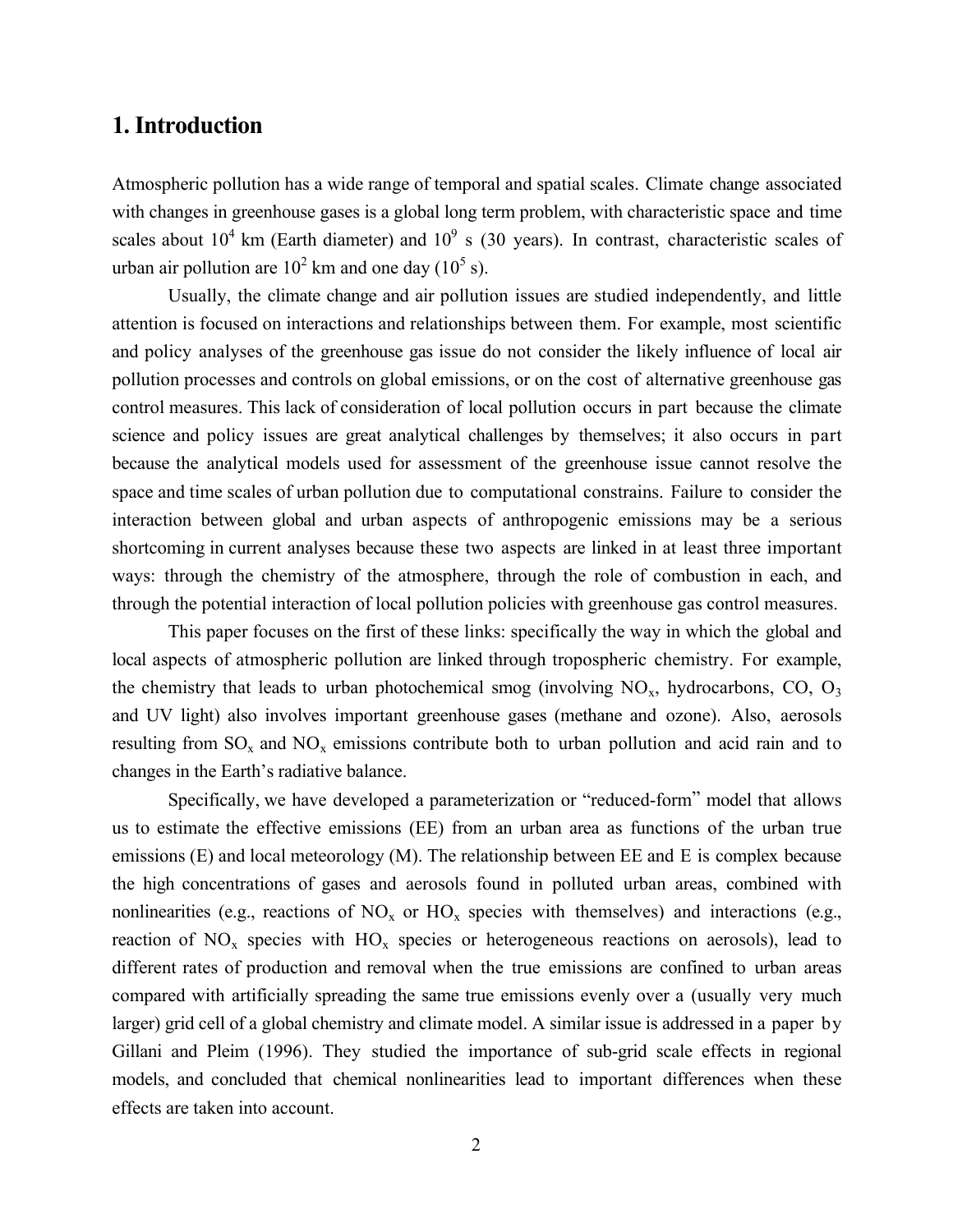## **1. Introduction**

Atmospheric pollution has a wide range of temporal and spatial scales. Climate change associated with changes in greenhouse gases is a global long term problem, with characteristic space and time scales about  $10^4$  km (Earth diameter) and  $10^9$  s (30 years). In contrast, characteristic scales of urban air pollution are  $10^2$  km and one day  $(10^5$  s).

Usually, the climate change and air pollution issues are studied independently, and little attention is focused on interactions and relationships between them. For example, most scientific and policy analyses of the greenhouse gas issue do not consider the likely influence of local air pollution processes and controls on global emissions, or on the cost of alternative greenhouse gas control measures. This lack of consideration of local pollution occurs in part because the climate science and policy issues are great analytical challenges by themselves; it also occurs in part because the analytical models used for assessment of the greenhouse issue cannot resolve the space and time scales of urban pollution due to computational constrains. Failure to consider the interaction between global and urban aspects of anthropogenic emissions may be a serious shortcoming in current analyses because these two aspects are linked in at least three important ways: through the chemistry of the atmosphere, through the role of combustion in each, and through the potential interaction of local pollution policies with greenhouse gas control measures.

This paper focuses on the first of these links: specifically the way in which the global and local aspects of atmospheric pollution are linked through tropospheric chemistry. For example, the chemistry that leads to urban photochemical smog (involving  $NO_x$ , hydrocarbons,  $CO$ ,  $O_3$ and UV light) also involves important greenhouse gases (methane and ozone). Also, aerosols resulting from  $SO_x$  and  $NO_x$  emissions contribute both to urban pollution and acid rain and to changes in the Earth's radiative balance.

Specifically, we have developed a parameterization or "reduced-form" model that allows us to estimate the effective emissions (EE) from an urban area as functions of the urban true emissions (E) and local meteorology (M). The relationship between EE and E is complex because the high concentrations of gases and aerosols found in polluted urban areas, combined with nonlinearities (e.g., reactions of  $NO_x$  or  $HO_x$  species with themselves) and interactions (e.g., reaction of  $NO_x$  species with  $HO_x$  species or heterogeneous reactions on aerosols), lead to different rates of production and removal when the true emissions are confined to urban areas compared with artificially spreading the same true emissions evenly over a (usually very much larger) grid cell of a global chemistry and climate model. A similar issue is addressed in a paper by Gillani and Pleim (1996). They studied the importance of sub-grid scale effects in regional models, and concluded that chemical nonlinearities lead to important differences when these effects are taken into account.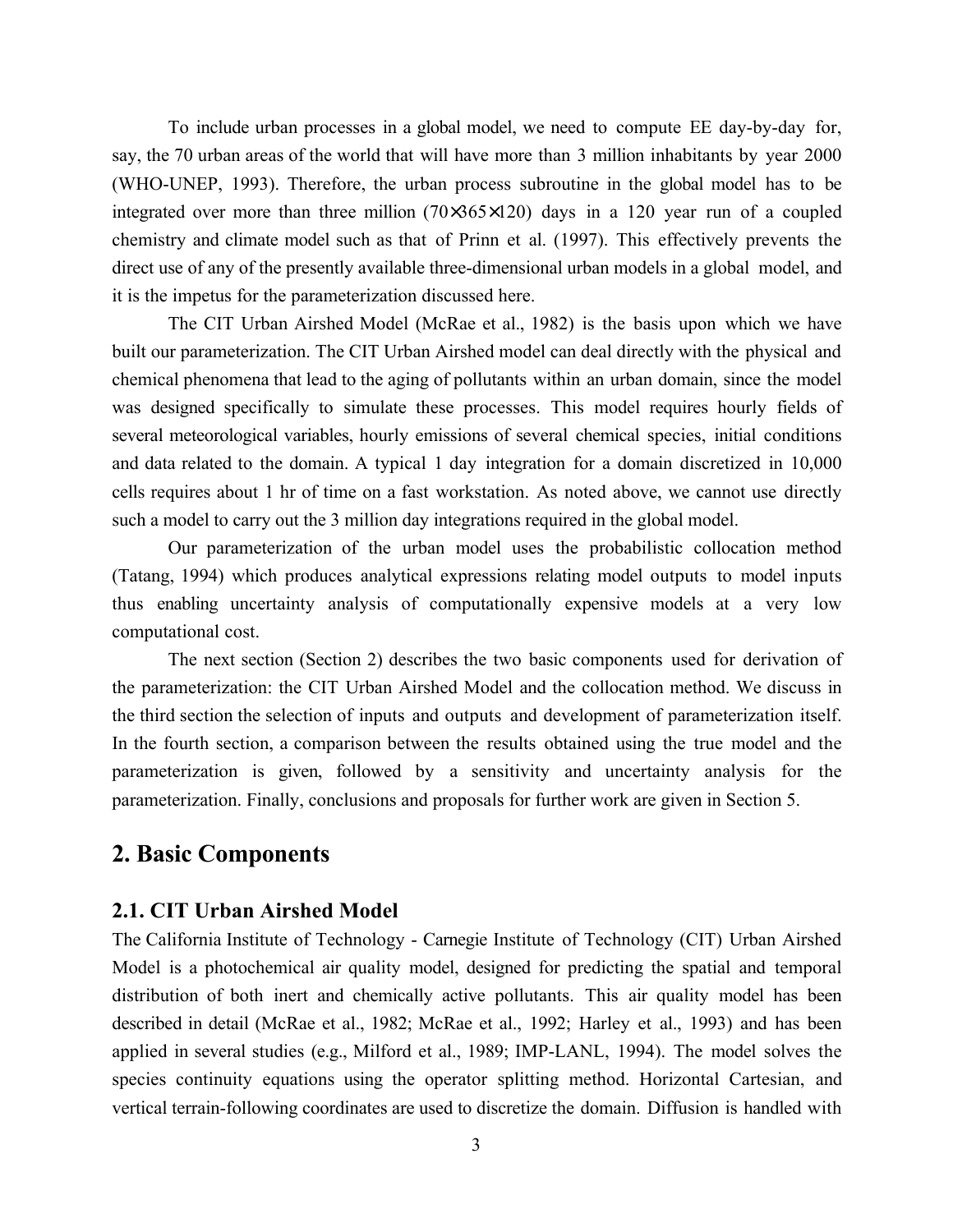To include urban processes in a global model, we need to compute EE day-by-day for, say, the 70 urban areas of the world that will have more than 3 million inhabitants by year 2000 (WHO-UNEP, 1993). Therefore, the urban process subroutine in the global model has to be integrated over more than three million  $(70\times365\times120)$  days in a 120 year run of a coupled chemistry and climate model such as that of Prinn et al. (1997). This effectively prevents the direct use of any of the presently available three-dimensional urban models in a global model, and it is the impetus for the parameterization discussed here.

The CIT Urban Airshed Model (McRae et al., 1982) is the basis upon which we have built our parameterization. The CIT Urban Airshed model can deal directly with the physical and chemical phenomena that lead to the aging of pollutants within an urban domain, since the model was designed specifically to simulate these processes. This model requires hourly fields of several meteorological variables, hourly emissions of several chemical species, initial conditions and data related to the domain. A typical 1 day integration for a domain discretized in 10,000 cells requires about 1 hr of time on a fast workstation. As noted above, we cannot use directly such a model to carry out the 3 million day integrations required in the global model.

Our parameterization of the urban model uses the probabilistic collocation method (Tatang, 1994) which produces analytical expressions relating model outputs to model inputs thus enabling uncertainty analysis of computationally expensive models at a very low computational cost.

The next section (Section 2) describes the two basic components used for derivation of the parameterization: the CIT Urban Airshed Model and the collocation method. We discuss in the third section the selection of inputs and outputs and development of parameterization itself. In the fourth section, a comparison between the results obtained using the true model and the parameterization is given, followed by a sensitivity and uncertainty analysis for the parameterization. Finally, conclusions and proposals for further work are given in Section 5.

### **2. Basic Components**

#### **2.1. CIT Urban Airshed Model**

The California Institute of Technology - Carnegie Institute of Technology (CIT) Urban Airshed Model is a photochemical air quality model, designed for predicting the spatial and temporal distribution of both inert and chemically active pollutants. This air quality model has been described in detail (McRae et al., 1982; McRae et al., 1992; Harley et al., 1993) and has been applied in several studies (e.g., Milford et al., 1989; IMP-LANL, 1994). The model solves the species continuity equations using the operator splitting method. Horizontal Cartesian, and vertical terrain-following coordinates are used to discretize the domain. Diffusion is handled with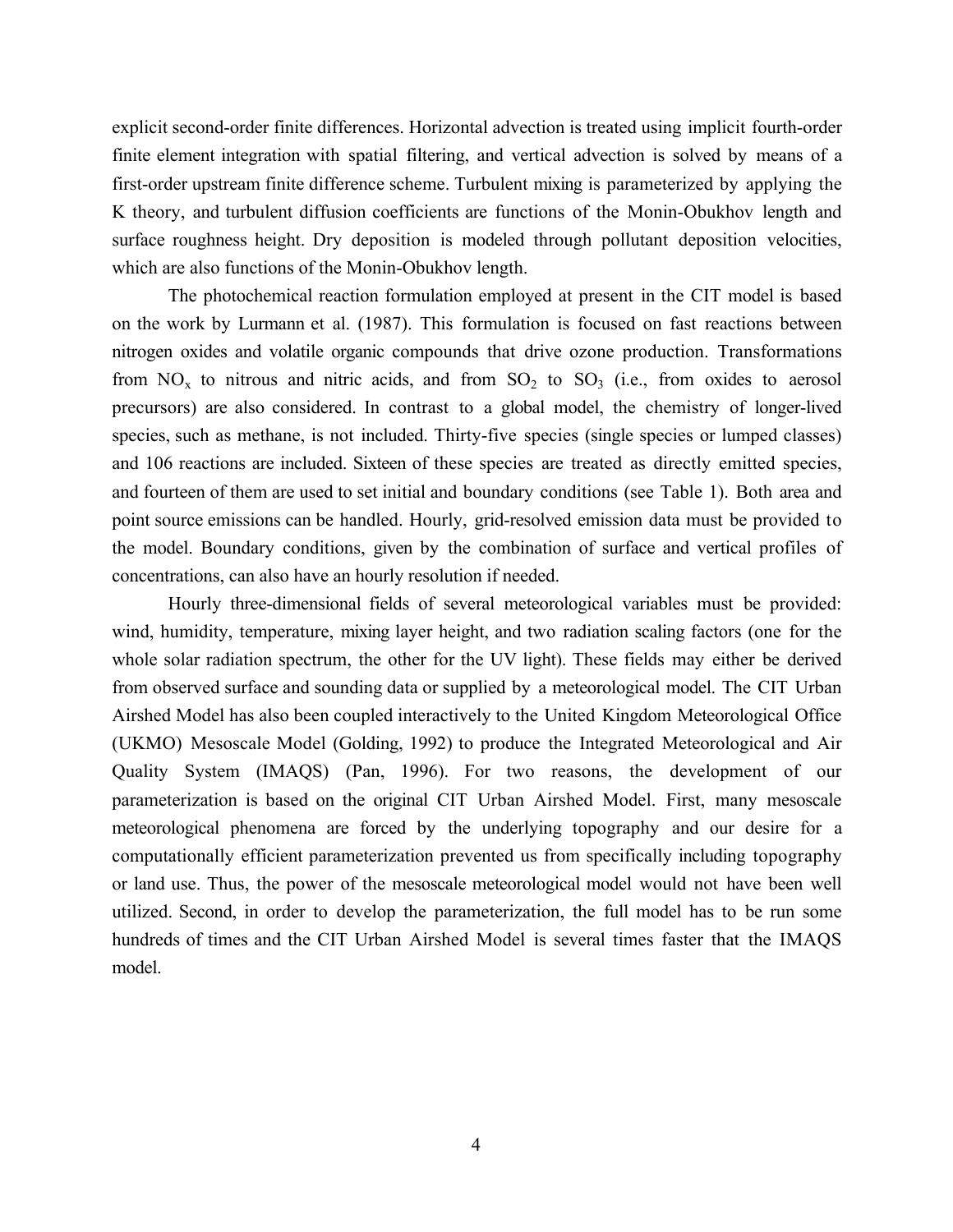explicit second-order finite differences. Horizontal advection is treated using implicit fourth-order finite element integration with spatial filtering, and vertical advection is solved by means of a first-order upstream finite difference scheme. Turbulent mixing is parameterized by applying the K theory, and turbulent diffusion coefficients are functions of the Monin-Obukhov length and surface roughness height. Dry deposition is modeled through pollutant deposition velocities, which are also functions of the Monin-Obukhov length.

The photochemical reaction formulation employed at present in the CIT model is based on the work by Lurmann et al. (1987). This formulation is focused on fast reactions between nitrogen oxides and volatile organic compounds that drive ozone production. Transformations from  $NO_x$  to nitrous and nitric acids, and from  $SO_2$  to  $SO_3$  (i.e., from oxides to aerosol precursors) are also considered. In contrast to a global model, the chemistry of longer-lived species, such as methane, is not included. Thirty-five species (single species or lumped classes) and 106 reactions are included. Sixteen of these species are treated as directly emitted species, and fourteen of them are used to set initial and boundary conditions (see Table 1). Both area and point source emissions can be handled. Hourly, grid-resolved emission data must be provided to the model. Boundary conditions, given by the combination of surface and vertical profiles of concentrations, can also have an hourly resolution if needed.

Hourly three-dimensional fields of several meteorological variables must be provided: wind, humidity, temperature, mixing layer height, and two radiation scaling factors (one for the whole solar radiation spectrum, the other for the UV light). These fields may either be derived from observed surface and sounding data or supplied by a meteorological model. The CIT Urban Airshed Model has also been coupled interactively to the United Kingdom Meteorological Office (UKMO) Mesoscale Model (Golding, 1992) to produce the Integrated Meteorological and Air Quality System (IMAQS) (Pan, 1996). For two reasons, the development of our parameterization is based on the original CIT Urban Airshed Model. First, many mesoscale meteorological phenomena are forced by the underlying topography and our desire for a computationally efficient parameterization prevented us from specifically including topography or land use. Thus, the power of the mesoscale meteorological model would not have been well utilized. Second, in order to develop the parameterization, the full model has to be run some hundreds of times and the CIT Urban Airshed Model is several times faster that the IMAQS model.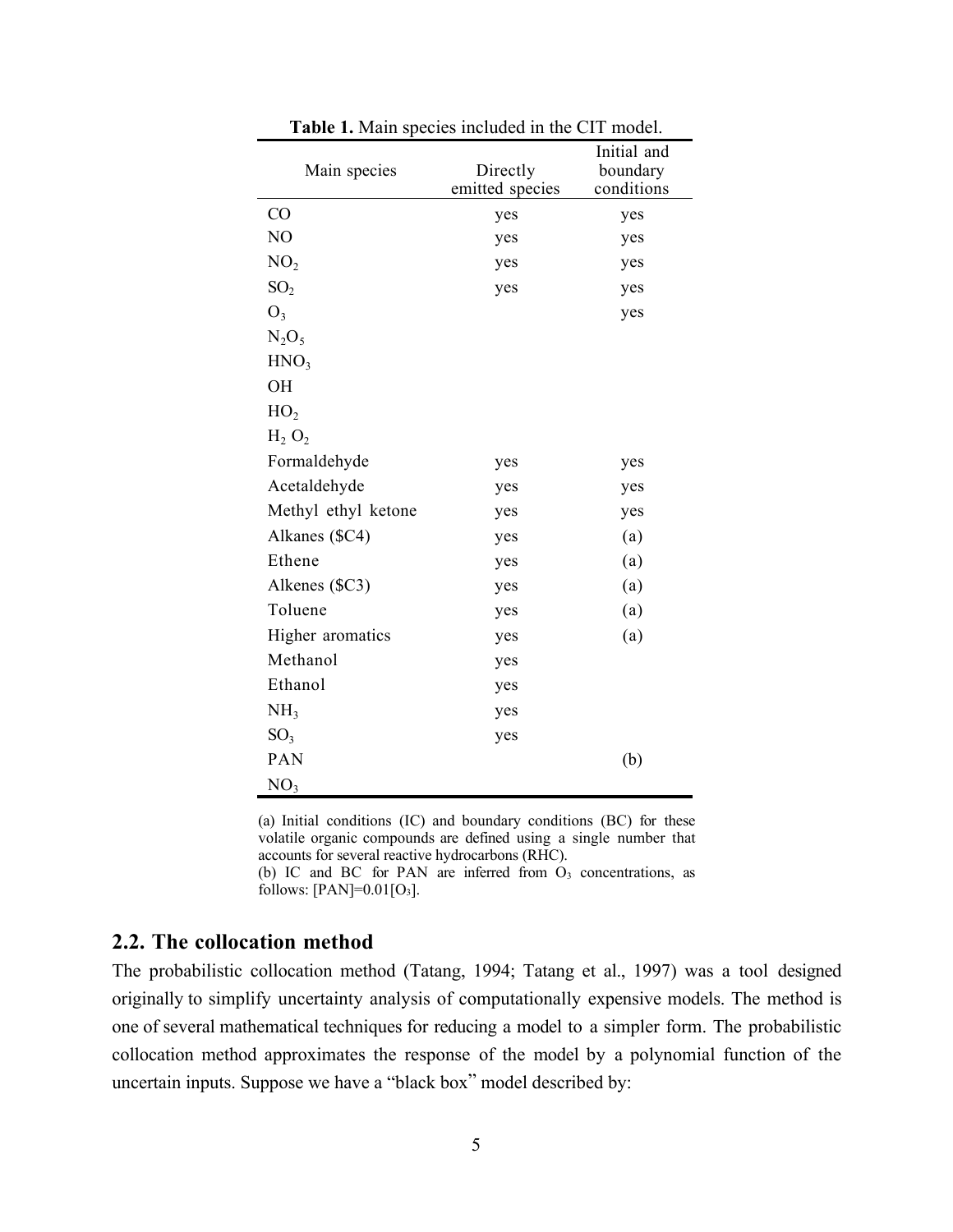| Main species        | Directly<br>emitted species | Initial and<br>boundary<br>conditions |  |  |
|---------------------|-----------------------------|---------------------------------------|--|--|
| CO                  | yes                         | yes                                   |  |  |
| N <sub>O</sub>      | yes                         | yes                                   |  |  |
| NO <sub>2</sub>     | yes                         | yes                                   |  |  |
| SO <sub>2</sub>     | yes                         | yes                                   |  |  |
| $O_3$               |                             | yes                                   |  |  |
| $N_2O_5$            |                             |                                       |  |  |
| HNO <sub>3</sub>    |                             |                                       |  |  |
| <b>OH</b>           |                             |                                       |  |  |
| HO <sub>2</sub>     |                             |                                       |  |  |
| $H_2 O_2$           |                             |                                       |  |  |
| Formaldehyde        | yes                         | yes                                   |  |  |
| Acetaldehyde        | yes                         | yes                                   |  |  |
| Methyl ethyl ketone | yes                         | yes                                   |  |  |
| Alkanes (\$C4)      | yes                         | (a)                                   |  |  |
| Ethene              | yes                         | (a)                                   |  |  |
| Alkenes (\$C3)      | yes                         | (a)                                   |  |  |
| Toluene             | yes                         | (a)                                   |  |  |
| Higher aromatics    | yes                         | (a)                                   |  |  |
| Methanol            | yes                         |                                       |  |  |
| Ethanol             | yes                         |                                       |  |  |
| NH <sub>3</sub>     | yes                         |                                       |  |  |
| SO <sub>3</sub>     | yes                         |                                       |  |  |
| PAN                 |                             | (b)                                   |  |  |
| NO <sub>3</sub>     |                             |                                       |  |  |

**Table 1.** Main species included in the CIT model.

(a) Initial conditions (IC) and boundary conditions (BC) for these volatile organic compounds are defined using a single number that accounts for several reactive hydrocarbons (RHC).

(b) IC and BC for PAN are inferred from  $O_3$  concentrations, as follows:  $[ PAN ] = 0.01 [O<sub>3</sub>].$ 

#### **2.2. The collocation method**

The probabilistic collocation method (Tatang, 1994; Tatang et al., 1997) was a tool designed originally to simplify uncertainty analysis of computationally expensive models. The method is one of several mathematical techniques for reducing a model to a simpler form. The probabilistic collocation method approximates the response of the model by a polynomial function of the uncertain inputs. Suppose we have a "black box" model described by: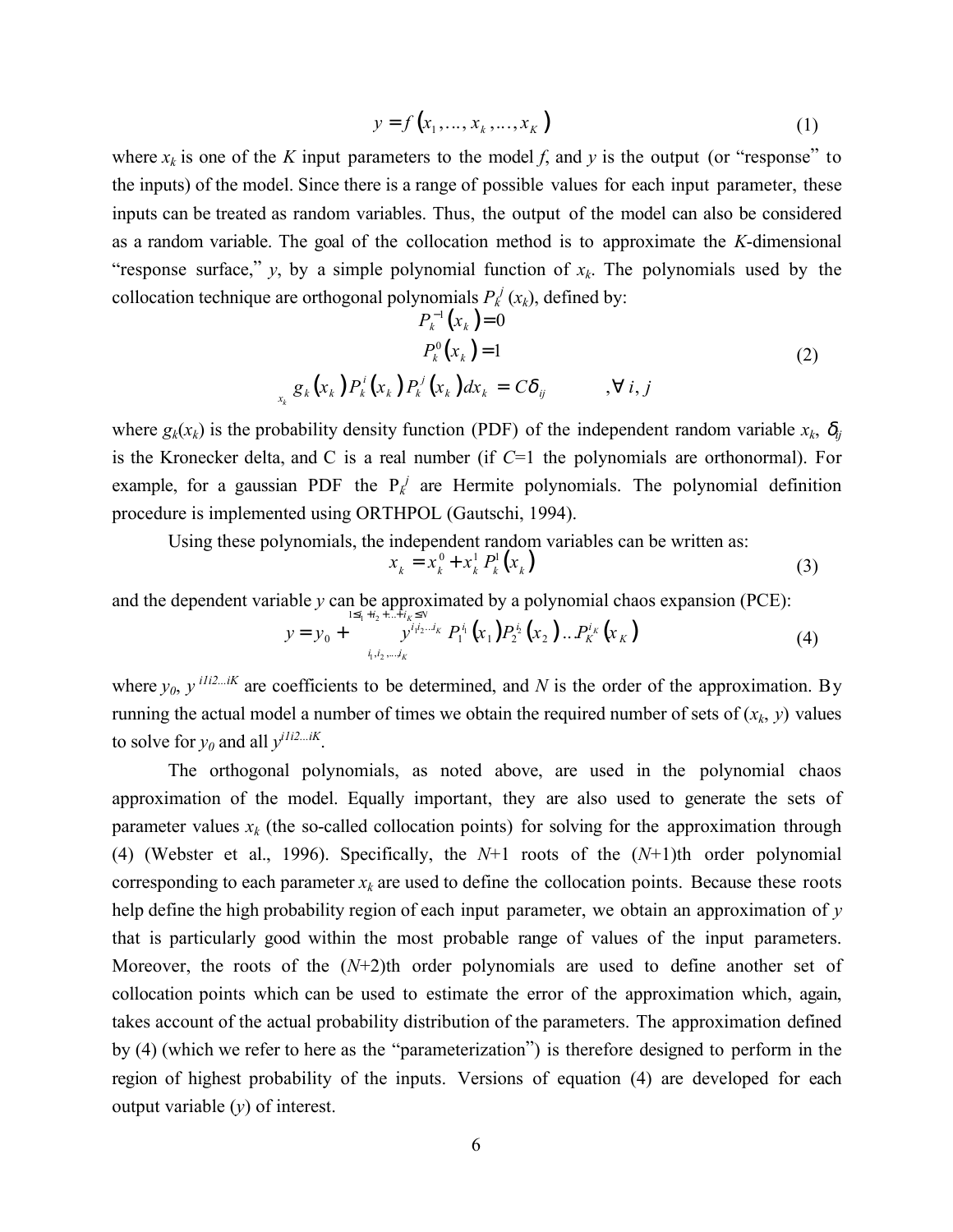$$
y = f(x_1, ..., x_k, ..., x_K)
$$
 (1)

where  $x_k$  is one of the *K* input parameters to the model *f*, and *y* is the output (or "response" to the inputs) of the model. Since there is a range of possible values for each input parameter, these inputs can be treated as random variables. Thus, the output of the model can also be considered as a random variable. The goal of the collocation method is to approximate the *K*-dimensional "response surface,"  $y$ , by a simple polynomial function of  $x_k$ . The polynomials used by the collocation technique are orthogonal polynomials  $P_k^j(x_k)$ , defined by:

$$
P_k^{-1}(x_k) = 0
$$
  
\n
$$
P_k^0(x_k) = 1
$$
  
\n
$$
g_k(x_k) P_k^i(x_k) P_k^j(x_k) dx_k = C\delta_{ij} \qquad , \forall i, j
$$
\n(2)

where  $g_k(x_k)$  is the probability density function (PDF) of the independent random variable  $x_k$ ,  $\delta_{ij}$ is the Kronecker delta, and C is a real number (if *C*=1 the polynomials are orthonormal). For example, for a gaussian PDF the  $P_k^j$  are Hermite polynomials. The polynomial definition procedure is implemented using ORTHPOL (Gautschi, 1994).

Using these polynomials, the independent random variables can be written as:

$$
x_k = x_k^0 + x_k^1 P_k^1(x_k)
$$
 (3)

and the dependent variable *y* can be approximated by a polynomial chaos expansion (PCE):

$$
y = y_0 + \sum_{i_1, i_2, \dots, i_K}^{i_1, i_2, \dots, i_K} P_1^{i_1} (x_1) P_2^{i_2} (x_2) \dots P_K^{i_K} (x_K)
$$
 (4)

where  $y_0$ ,  $y^{i1i2...iK}$  are coefficients to be determined, and *N* is the order of the approximation. By running the actual model a number of times we obtain the required number of sets of  $(x_k, y)$  values to solve for  $y_0$  and all  $y^{i1i2...iK}$ .

The orthogonal polynomials, as noted above, are used in the polynomial chaos approximation of the model. Equally important, they are also used to generate the sets of parameter values  $x_k$  (the so-called collocation points) for solving for the approximation through (4) (Webster et al., 1996). Specifically, the *N*+1 roots of the (*N*+1)th order polynomial corresponding to each parameter  $x_k$  are used to define the collocation points. Because these roots help define the high probability region of each input parameter, we obtain an approximation of *y* that is particularly good within the most probable range of values of the input parameters. Moreover, the roots of the (*N*+2)th order polynomials are used to define another set of collocation points which can be used to estimate the error of the approximation which, again, takes account of the actual probability distribution of the parameters. The approximation defined by (4) (which we refer to here as the "parameterization") is therefore designed to perform in the region of highest probability of the inputs. Versions of equation (4) are developed for each output variable (*y*) of interest.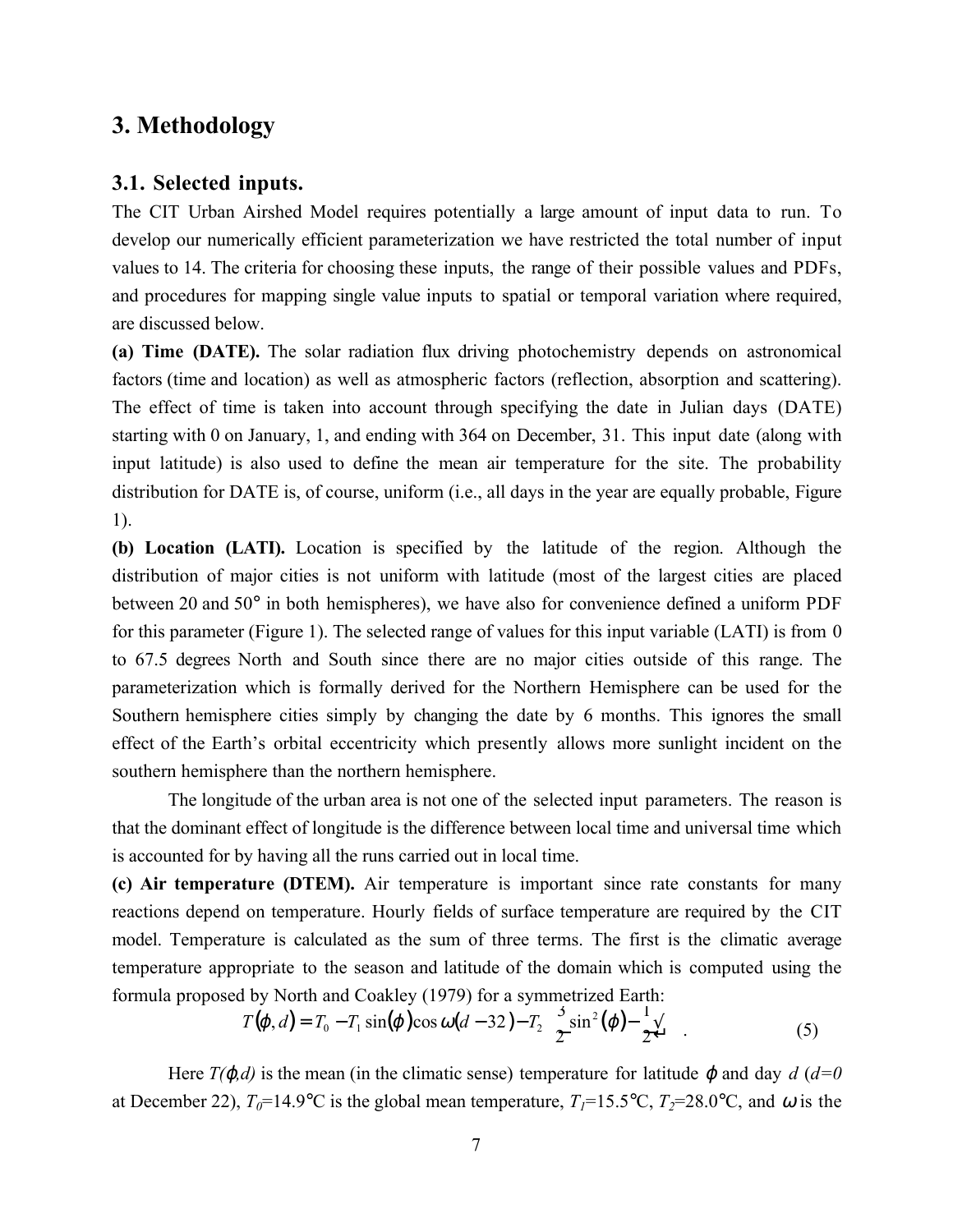# **3. Methodology**

### **3.1. Selected inputs.**

The CIT Urban Airshed Model requires potentially a large amount of input data to run. To develop our numerically efficient parameterization we have restricted the total number of input values to 14. The criteria for choosing these inputs, the range of their possible values and PDFs, and procedures for mapping single value inputs to spatial or temporal variation where required, are discussed below.

**(a) Time (DATE).** The solar radiation flux driving photochemistry depends on astronomical factors (time and location) as well as atmospheric factors (reflection, absorption and scattering). The effect of time is taken into account through specifying the date in Julian days (DATE) starting with 0 on January, 1, and ending with 364 on December, 31. This input date (along with input latitude) is also used to define the mean air temperature for the site. The probability distribution for DATE is, of course, uniform (i.e., all days in the year are equally probable, Figure 1).

**(b) Location (LATI).** Location is specified by the latitude of the region. Although the distribution of major cities is not uniform with latitude (most of the largest cities are placed between 20 and 50° in both hemispheres), we have also for convenience defined a uniform PDF for this parameter (Figure 1). The selected range of values for this input variable (LATI) is from 0 to 67.5 degrees North and South since there are no major cities outside of this range. The parameterization which is formally derived for the Northern Hemisphere can be used for the Southern hemisphere cities simply by changing the date by 6 months. This ignores the small effect of the Earth's orbital eccentricity which presently allows more sunlight incident on the southern hemisphere than the northern hemisphere.

The longitude of the urban area is not one of the selected input parameters. The reason is that the dominant effect of longitude is the difference between local time and universal time which is accounted for by having all the runs carried out in local time.

**(c) Air temperature (DTEM).** Air temperature is important since rate constants for many reactions depend on temperature. Hourly fields of surface temperature are required by the CIT model. Temperature is calculated as the sum of three terms. The first is the climatic average temperature appropriate to the season and latitude of the domain which is computed using the formula proposed by North and Coakley (1979) for a symmetrized Earth:

$$
T(\varphi, d) = T_0 - T_1 \sin(\varphi) \cos \omega (d - 32) - T_2 \frac{\omega}{2} \sin^2(\varphi) - \frac{1}{2} \frac{\omega}{2}
$$
 (5)

Here  $T(\varphi, d)$  is the mean (in the climatic sense) temperature for latitude  $\varphi$  and day  $d$  ( $d=0$ ) at December 22),  $T_0=14.9$ °C is the global mean temperature,  $T_1=15.5$ °C,  $T_2=28.0$ °C, and  $\omega$  is the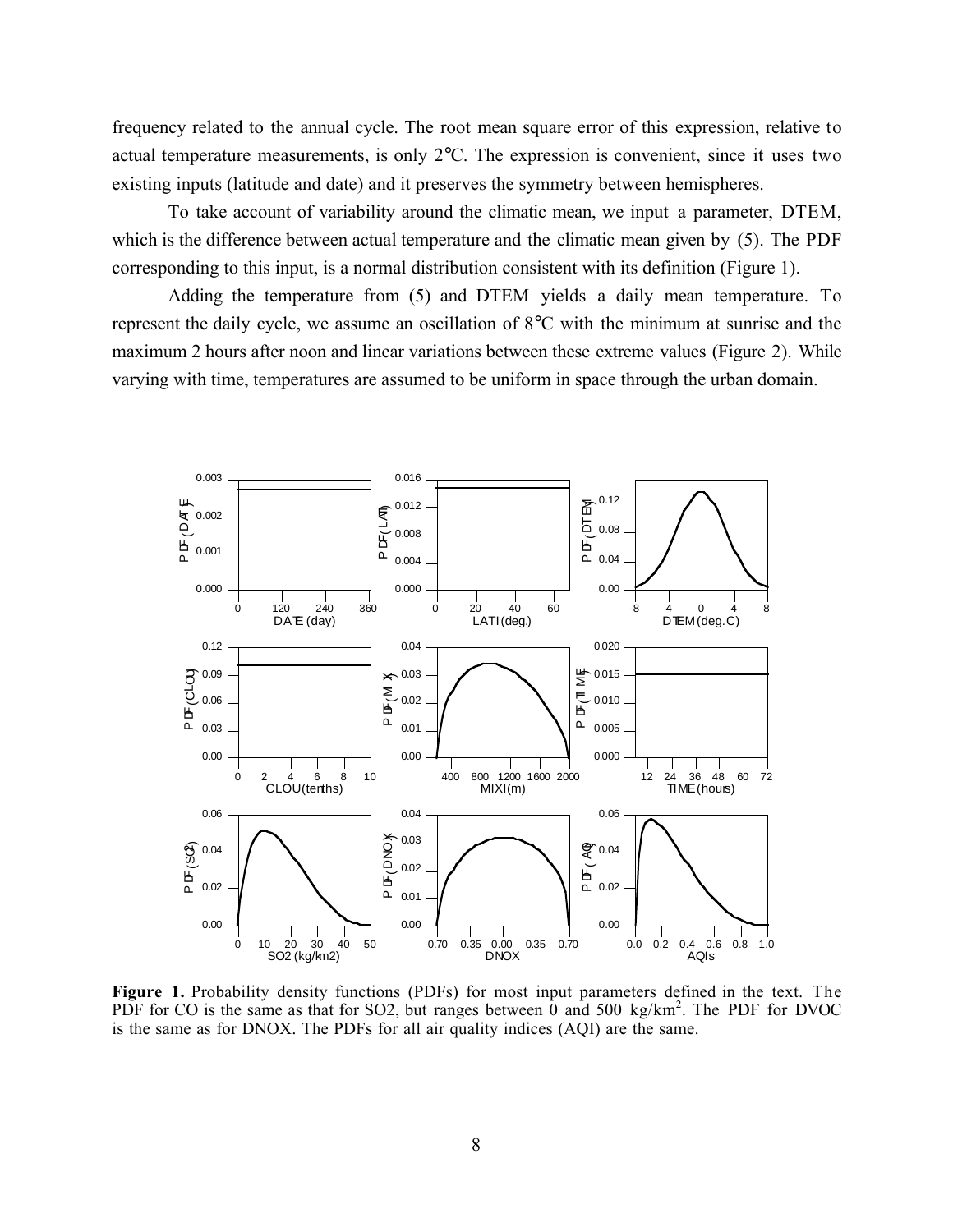frequency related to the annual cycle. The root mean square error of this expression, relative to actual temperature measurements, is only 2°C. The expression is convenient, since it uses two existing inputs (latitude and date) and it preserves the symmetry between hemispheres.

To take account of variability around the climatic mean, we input a parameter, DTEM, which is the difference between actual temperature and the climatic mean given by (5). The PDF corresponding to this input, is a normal distribution consistent with its definition (Figure 1).

Adding the temperature from (5) and DTEM yields a daily mean temperature. To represent the daily cycle, we assume an oscillation of 8°C with the minimum at sunrise and the maximum 2 hours after noon and linear variations between these extreme values (Figure 2). While varying with time, temperatures are assumed to be uniform in space through the urban domain.



**Figure 1.** Probability density functions (PDFs) for most input parameters defined in the text. The PDF for CO is the same as that for SO2, but ranges between  $\hat{0}$  and 500 kg/km<sup>2</sup>. The PDF for DVOC is the same as for DNOX. The PDFs for all air quality indices (AQI) are the same.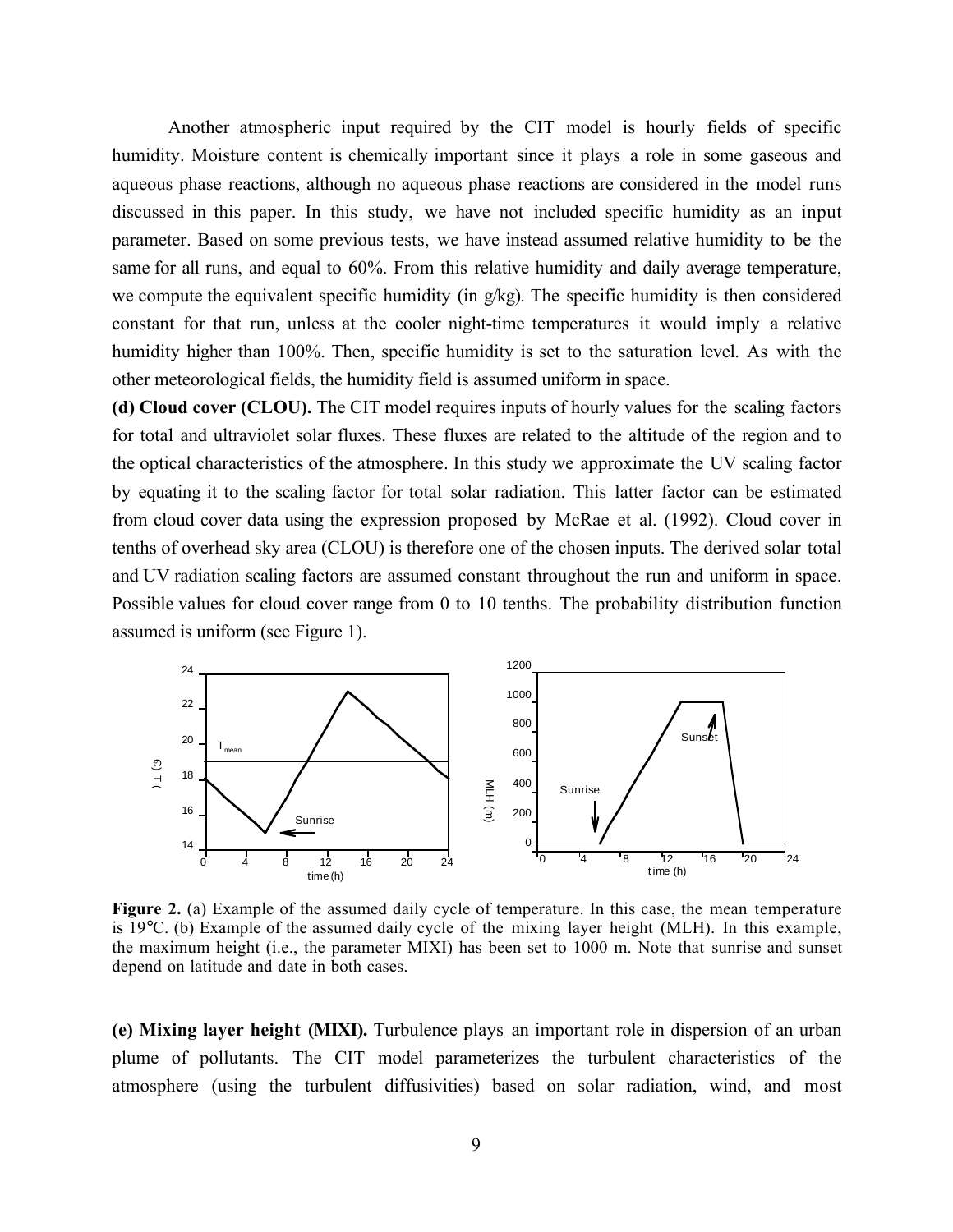Another atmospheric input required by the CIT model is hourly fields of specific humidity. Moisture content is chemically important since it plays a role in some gaseous and aqueous phase reactions, although no aqueous phase reactions are considered in the model runs discussed in this paper. In this study, we have not included specific humidity as an input parameter. Based on some previous tests, we have instead assumed relative humidity to be the same for all runs, and equal to 60%. From this relative humidity and daily average temperature, we compute the equivalent specific humidity (in  $g/kg$ ). The specific humidity is then considered constant for that run, unless at the cooler night-time temperatures it would imply a relative humidity higher than 100%. Then, specific humidity is set to the saturation level. As with the other meteorological fields, the humidity field is assumed uniform in space.

**(d) Cloud cover (CLOU).** The CIT model requires inputs of hourly values for the scaling factors for total and ultraviolet solar fluxes. These fluxes are related to the altitude of the region and to the optical characteristics of the atmosphere. In this study we approximate the UV scaling factor by equating it to the scaling factor for total solar radiation. This latter factor can be estimated from cloud cover data using the expression proposed by McRae et al. (1992). Cloud cover in tenths of overhead sky area (CLOU) is therefore one of the chosen inputs. The derived solar total and UV radiation scaling factors are assumed constant throughout the run and uniform in space. Possible values for cloud cover range from 0 to 10 tenths. The probability distribution function assumed is uniform (see Figure 1).



**Figure 2.** (a) Example of the assumed daily cycle of temperature. In this case, the mean temperature is 19°C. (b) Example of the assumed daily cycle of the mixing layer height (MLH). In this example, the maximum height (i.e., the parameter MIXI) has been set to 1000 m. Note that sunrise and sunset depend on latitude and date in both cases.

**(e) Mixing layer height (MIXI).** Turbulence plays an important role in dispersion of an urban plume of pollutants. The CIT model parameterizes the turbulent characteristics of the atmosphere (using the turbulent diffusivities) based on solar radiation, wind, and most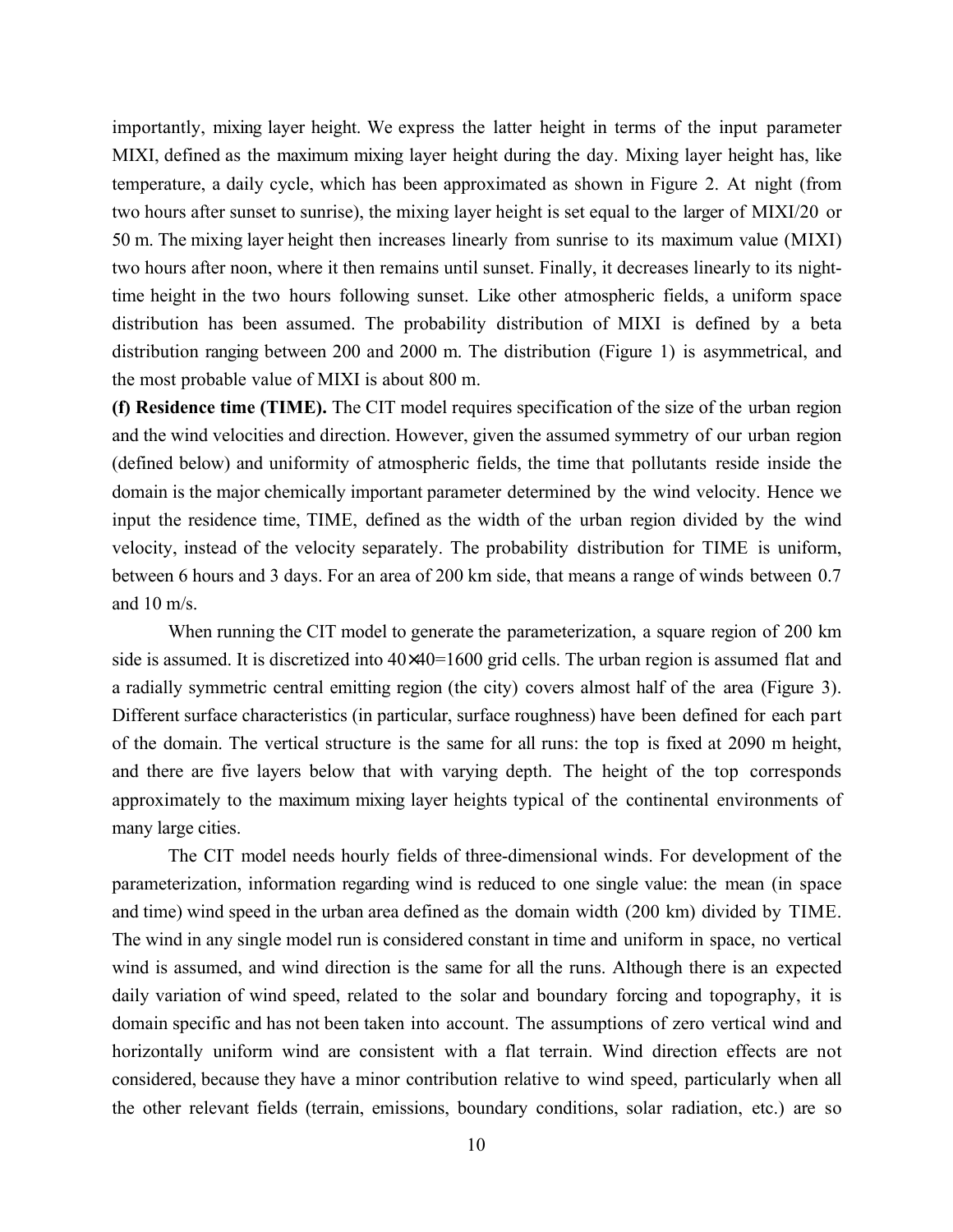importantly, mixing layer height. We express the latter height in terms of the input parameter MIXI, defined as the maximum mixing layer height during the day. Mixing layer height has, like temperature, a daily cycle, which has been approximated as shown in Figure 2. At night (from two hours after sunset to sunrise), the mixing layer height is set equal to the larger of MIXI/20 or 50 m. The mixing layer height then increases linearly from sunrise to its maximum value (MIXI) two hours after noon, where it then remains until sunset. Finally, it decreases linearly to its nighttime height in the two hours following sunset. Like other atmospheric fields, a uniform space distribution has been assumed. The probability distribution of MIXI is defined by a beta distribution ranging between 200 and 2000 m. The distribution (Figure 1) is asymmetrical, and the most probable value of MIXI is about 800 m.

**(f) Residence time (TIME).** The CIT model requires specification of the size of the urban region and the wind velocities and direction. However, given the assumed symmetry of our urban region (defined below) and uniformity of atmospheric fields, the time that pollutants reside inside the domain is the major chemically important parameter determined by the wind velocity. Hence we input the residence time, TIME, defined as the width of the urban region divided by the wind velocity, instead of the velocity separately. The probability distribution for TIME is uniform, between 6 hours and 3 days. For an area of 200 km side, that means a range of winds between 0.7 and  $10 \text{ m/s}$ .

When running the CIT model to generate the parameterization, a square region of 200 km side is assumed. It is discretized into  $40\times40=1600$  grid cells. The urban region is assumed flat and a radially symmetric central emitting region (the city) covers almost half of the area (Figure 3). Different surface characteristics (in particular, surface roughness) have been defined for each part of the domain. The vertical structure is the same for all runs: the top is fixed at 2090 m height, and there are five layers below that with varying depth. The height of the top corresponds approximately to the maximum mixing layer heights typical of the continental environments of many large cities.

The CIT model needs hourly fields of three-dimensional winds. For development of the parameterization, information regarding wind is reduced to one single value: the mean (in space and time) wind speed in the urban area defined as the domain width (200 km) divided by TIME. The wind in any single model run is considered constant in time and uniform in space, no vertical wind is assumed, and wind direction is the same for all the runs. Although there is an expected daily variation of wind speed, related to the solar and boundary forcing and topography, it is domain specific and has not been taken into account. The assumptions of zero vertical wind and horizontally uniform wind are consistent with a flat terrain. Wind direction effects are not considered, because they have a minor contribution relative to wind speed, particularly when all the other relevant fields (terrain, emissions, boundary conditions, solar radiation, etc.) are so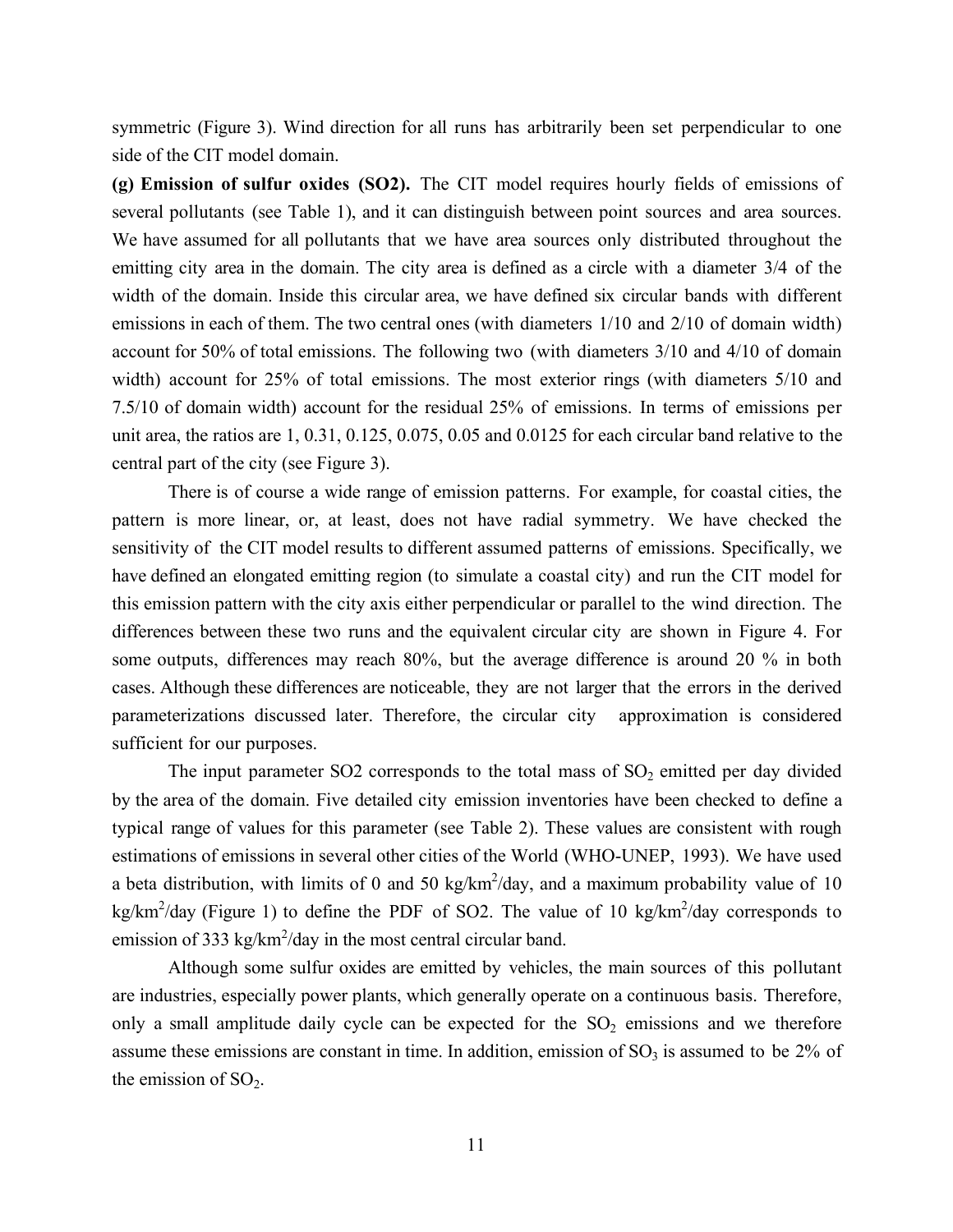symmetric (Figure 3). Wind direction for all runs has arbitrarily been set perpendicular to one side of the CIT model domain.

**(g) Emission of sulfur oxides (SO2).** The CIT model requires hourly fields of emissions of several pollutants (see Table 1), and it can distinguish between point sources and area sources. We have assumed for all pollutants that we have area sources only distributed throughout the emitting city area in the domain. The city area is defined as a circle with a diameter 3/4 of the width of the domain. Inside this circular area, we have defined six circular bands with different emissions in each of them. The two central ones (with diameters 1/10 and 2/10 of domain width) account for 50% of total emissions. The following two (with diameters 3/10 and 4/10 of domain width) account for 25% of total emissions. The most exterior rings (with diameters 5/10 and 7.5/10 of domain width) account for the residual 25% of emissions. In terms of emissions per unit area, the ratios are 1, 0.31, 0.125, 0.075, 0.05 and 0.0125 for each circular band relative to the central part of the city (see Figure 3).

There is of course a wide range of emission patterns. For example, for coastal cities, the pattern is more linear, or, at least, does not have radial symmetry. We have checked the sensitivity of the CIT model results to different assumed patterns of emissions. Specifically, we have defined an elongated emitting region (to simulate a coastal city) and run the CIT model for this emission pattern with the city axis either perpendicular or parallel to the wind direction. The differences between these two runs and the equivalent circular city are shown in Figure 4. For some outputs, differences may reach 80%, but the average difference is around 20 % in both cases. Although these differences are noticeable, they are not larger that the errors in the derived parameterizations discussed later. Therefore, the circular city approximation is considered sufficient for our purposes.

The input parameter SO2 corresponds to the total mass of  $SO_2$  emitted per day divided by the area of the domain. Five detailed city emission inventories have been checked to define a typical range of values for this parameter (see Table 2). These values are consistent with rough estimations of emissions in several other cities of the World (WHO-UNEP, 1993). We have used a beta distribution, with limits of 0 and 50 kg/km<sup>2</sup>/day, and a maximum probability value of 10 kg/km<sup>2</sup>/day (Figure 1) to define the PDF of SO2. The value of 10 kg/km<sup>2</sup>/day corresponds to emission of 333 kg/km<sup>2</sup>/day in the most central circular band.

Although some sulfur oxides are emitted by vehicles, the main sources of this pollutant are industries, especially power plants, which generally operate on a continuous basis. Therefore, only a small amplitude daily cycle can be expected for the  $SO_2$  emissions and we therefore assume these emissions are constant in time. In addition, emission of  $SO<sub>3</sub>$  is assumed to be 2% of the emission of  $SO<sub>2</sub>$ .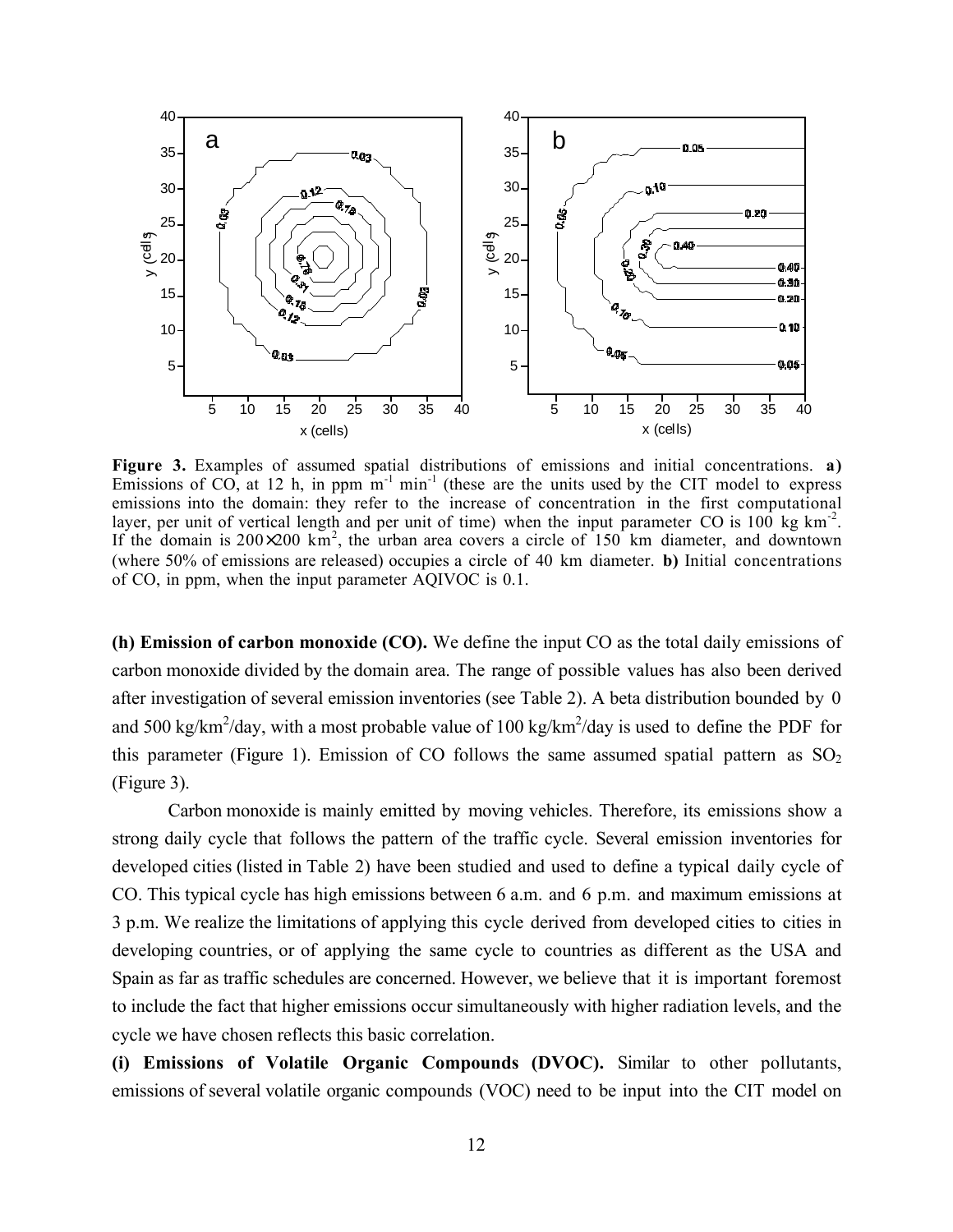

**Figure 3.** Examples of assumed spatial distributions of emissions and initial concentrations. **a)** Emissions of CO, at 12 h, in ppm  $m^{-1}$  min<sup>-1</sup> (these are the units used by the CIT model to express emissions into the domain: they refer to the increase of concentration in the first computational layer, per unit of vertical length and per unit of time) when the input parameter CO is 100 kg km<sup>-2</sup>. If the domain is  $200\times200 \text{ km}^2$ , the urban area covers a circle of  $150 \text{ km}$  diameter, and downtown (where 50% of emissions are released) occupies a circle of 40 km diameter. **b)** Initial concentrations of CO, in ppm, when the input parameter AQIVOC is 0.1.

**(h) Emission of carbon monoxide (CO).** We define the input CO as the total daily emissions of carbon monoxide divided by the domain area. The range of possible values has also been derived after investigation of several emission inventories (see Table 2). A beta distribution bounded by 0 and 500 kg/km<sup>2</sup>/day, with a most probable value of 100 kg/km<sup>2</sup>/day is used to define the PDF for this parameter (Figure 1). Emission of CO follows the same assumed spatial pattern as  $SO<sub>2</sub>$ (Figure 3).

Carbon monoxide is mainly emitted by moving vehicles. Therefore, its emissions show a strong daily cycle that follows the pattern of the traffic cycle. Several emission inventories for developed cities (listed in Table 2) have been studied and used to define a typical daily cycle of CO. This typical cycle has high emissions between 6 a.m. and 6 p.m. and maximum emissions at 3 p.m. We realize the limitations of applying this cycle derived from developed cities to cities in developing countries, or of applying the same cycle to countries as different as the USA and Spain as far as traffic schedules are concerned. However, we believe that it is important foremost to include the fact that higher emissions occur simultaneously with higher radiation levels, and the cycle we have chosen reflects this basic correlation.

**(i) Emissions of Volatile Organic Compounds (DVOC).** Similar to other pollutants, emissions of several volatile organic compounds (VOC) need to be input into the CIT model on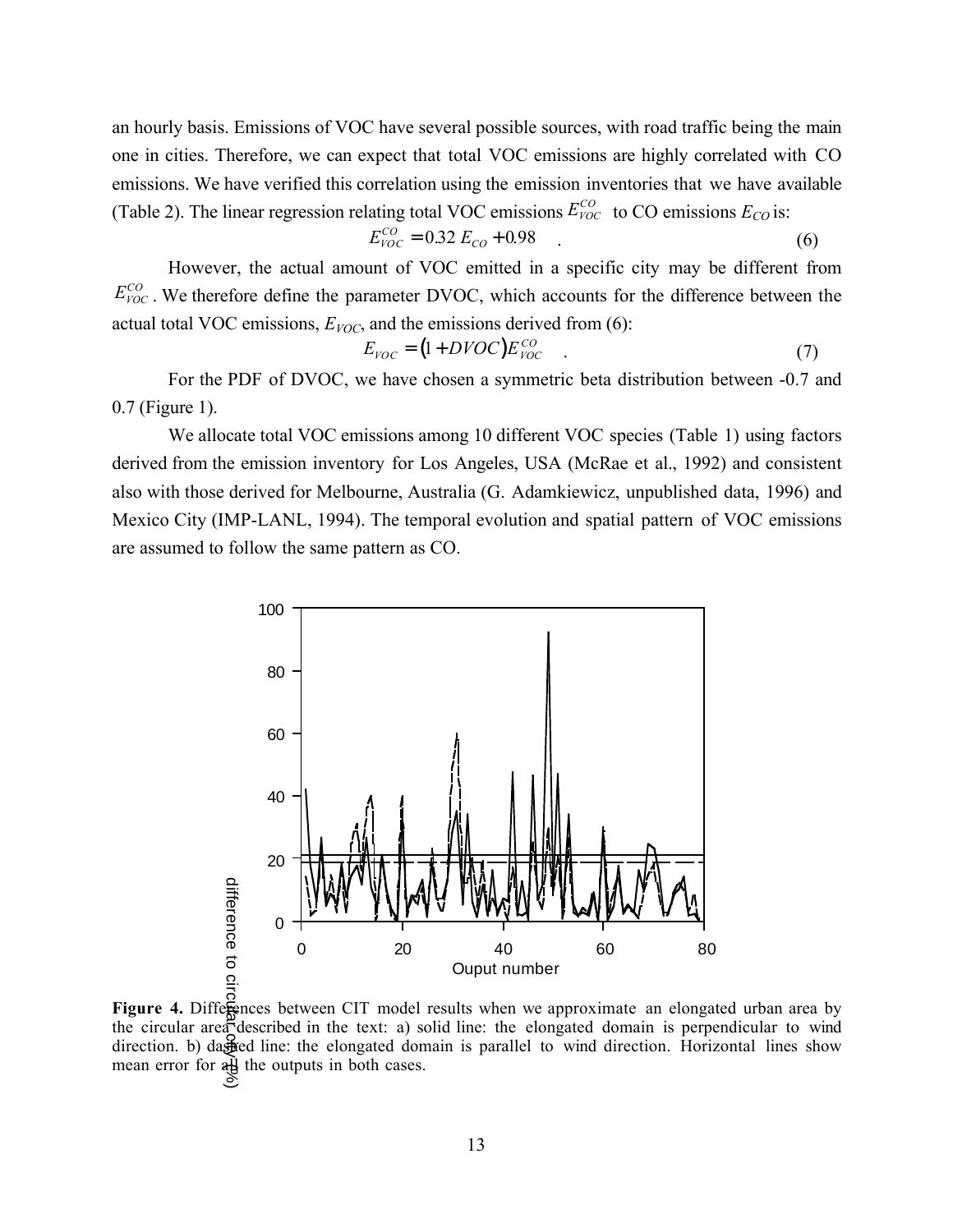an hourly basis. Emissions of VOC have several possible sources, with road traffic being the main one in cities. Therefore, we can expect that total VOC emissions are highly correlated with CO emissions. We have verified this correlation using the emission inventories that we have available (Table 2). The linear regression relating total VOC emissions  $E_{VOC}^{CO}$  to CO emissions  $E_{CO}$  is:

$$
E_{VOC}^{CO} = 0.32 E_{CO} + 0.98 \tag{6}
$$

However, the actual amount of VOC emitted in a specific city may be different from  $E_{VOC}^{CO}$ . We therefore define the parameter DVOC, which accounts for the difference between the actual total VOC emissions,  $E_{VOC}$ , and the emissions derived from (6):

$$
E_{VOC} = (1 + DVOC)E_{VOC}^{CO}
$$
 (7)

For the PDF of DVOC, we have chosen a symmetric beta distribution between -0.7 and 0.7 (Figure 1).

We allocate total VOC emissions among 10 different VOC species (Table 1) using factors derived from the emission inventory for Los Angeles, USA (McRae et al., 1992) and consistent also with those derived for Melbourne, Australia (G. Adamkiewicz, unpublished data, 1996) and Mexico City (IMP-LANL, 1994). The temporal evolution and spatial pattern of VOC emissions are assumed to follow the same pattern as CO.



the circular area described in the text: a) solid line: the elongated domain is perpendicular to wind direction. b) dashed line: the elongated domain is parallel to wind direction. Horizontal lines show mean error for  $a\overrightarrow{H}$  the outputs in both cases.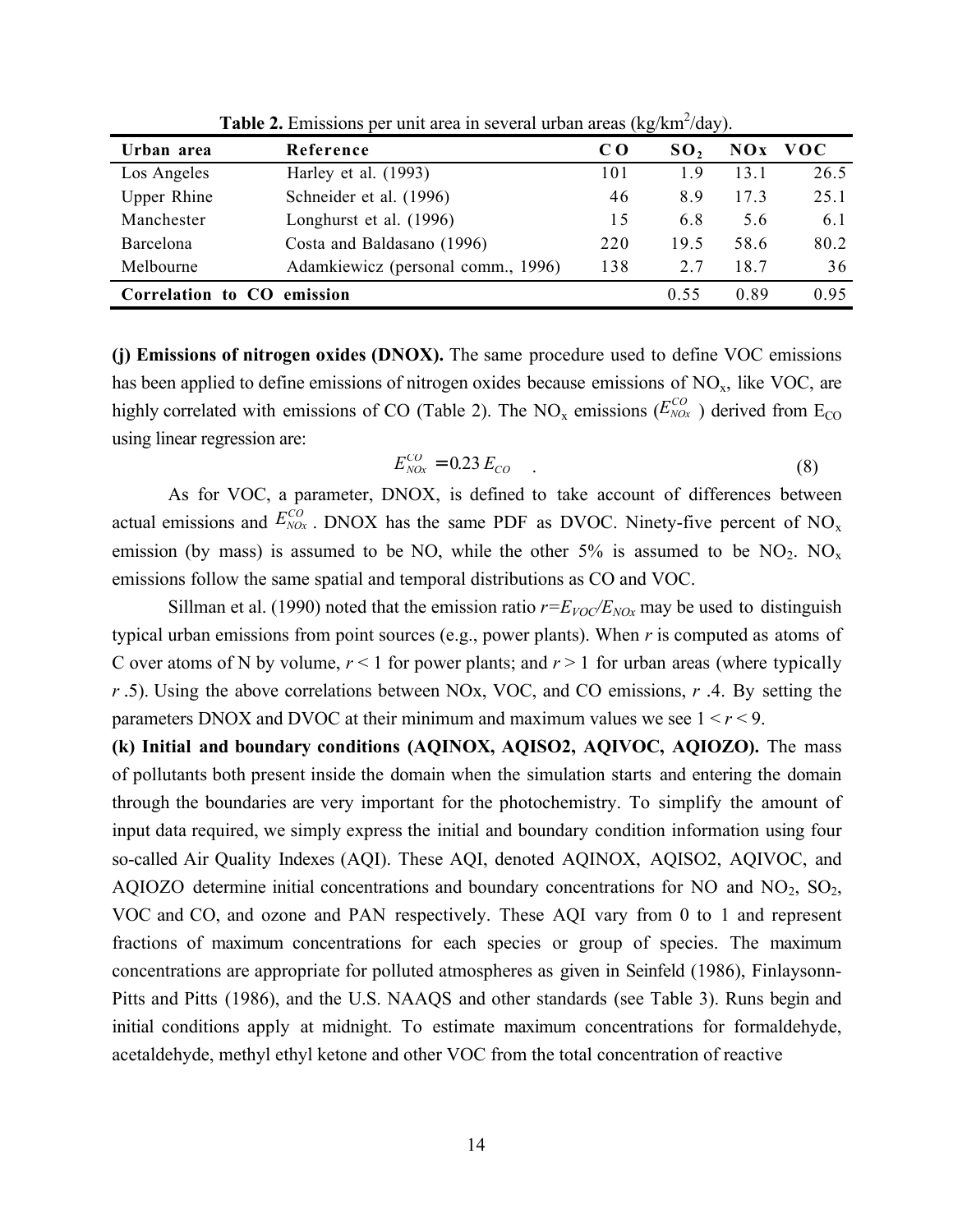| Urban area         | Reference                          | C O | SO <sub>2</sub> | NQX  | <b>VOC</b> |
|--------------------|------------------------------------|-----|-----------------|------|------------|
| Los Angeles        | Harley et al. $(1993)$             | 101 | 19              | 13 1 | 26.5       |
| <b>Upper Rhine</b> | Schneider et al. (1996)            | 46  | 8.9             | 173  | 25.1       |
| Manchester         | Longhurst et al. (1996)            | 15  | 6.8             | 5.6  | 6.1        |
| Barcelona          | Costa and Baldasano (1996)         | 220 | 19.5            | 58.6 | 80.2       |
| Melbourne          | Adamkiewicz (personal comm., 1996) | 138 | 27              | 18.7 | 36         |
| Correlation to CO  | emission                           |     | 0.55            | 0.89 | 0.95       |

**Table 2.** Emissions per unit area in several urban areas (kg/km<sup>2</sup>/day).

**(j) Emissions of nitrogen oxides (DNOX).** The same procedure used to define VOC emissions has been applied to define emissions of nitrogen oxides because emissions of  $NO<sub>x</sub>$ , like VOC, are highly correlated with emissions of CO (Table 2). The NO<sub>x</sub> emissions ( $E_{NOX}^{CO}$  ) derived from E<sub>CO</sub> using linear regression are:

$$
E_{NOx}^{CO} = 0.23 E_{CO}
$$
 (8)

As for VOC, a parameter, DNOX, is defined to take account of differences between actual emissions and  $E_{NOx}^{CO}$ . DNOX has the same PDF as DVOC. Ninety-five percent of NO<sub>x</sub> emission (by mass) is assumed to be NO, while the other 5% is assumed to be  $NO_2$ . NO<sub>x</sub> emissions follow the same spatial and temporal distributions as CO and VOC.

Sillman et al. (1990) noted that the emission ratio  $r = E_{VOC}/E_{NOx}$  may be used to distinguish typical urban emissions from point sources (e.g., power plants). When *r* is computed as atoms of C over atoms of N by volume,  $r < 1$  for power plants; and  $r > 1$  for urban areas (where typically *r* .5). Using the above correlations between NOx, VOC, and CO emissions, *r* .4. By setting the parameters DNOX and DVOC at their minimum and maximum values we see  $1 < r < 9$ .

**(k) Initial and boundary conditions (AQINOX, AQISO2, AQIVOC, AQIOZO).** The mass of pollutants both present inside the domain when the simulation starts and entering the domain through the boundaries are very important for the photochemistry. To simplify the amount of input data required, we simply express the initial and boundary condition information using four so-called Air Quality Indexes (AQI). These AQI, denoted AQINOX, AQISO2, AQIVOC, and AQIOZO determine initial concentrations and boundary concentrations for NO and  $NO<sub>2</sub>$ ,  $SO<sub>2</sub>$ , VOC and CO, and ozone and PAN respectively. These AQI vary from 0 to 1 and represent fractions of maximum concentrations for each species or group of species. The maximum concentrations are appropriate for polluted atmospheres as given in Seinfeld (1986), Finlaysonn-Pitts and Pitts (1986), and the U.S. NAAQS and other standards (see Table 3). Runs begin and initial conditions apply at midnight. To estimate maximum concentrations for formaldehyde, acetaldehyde, methyl ethyl ketone and other VOC from the total concentration of reactive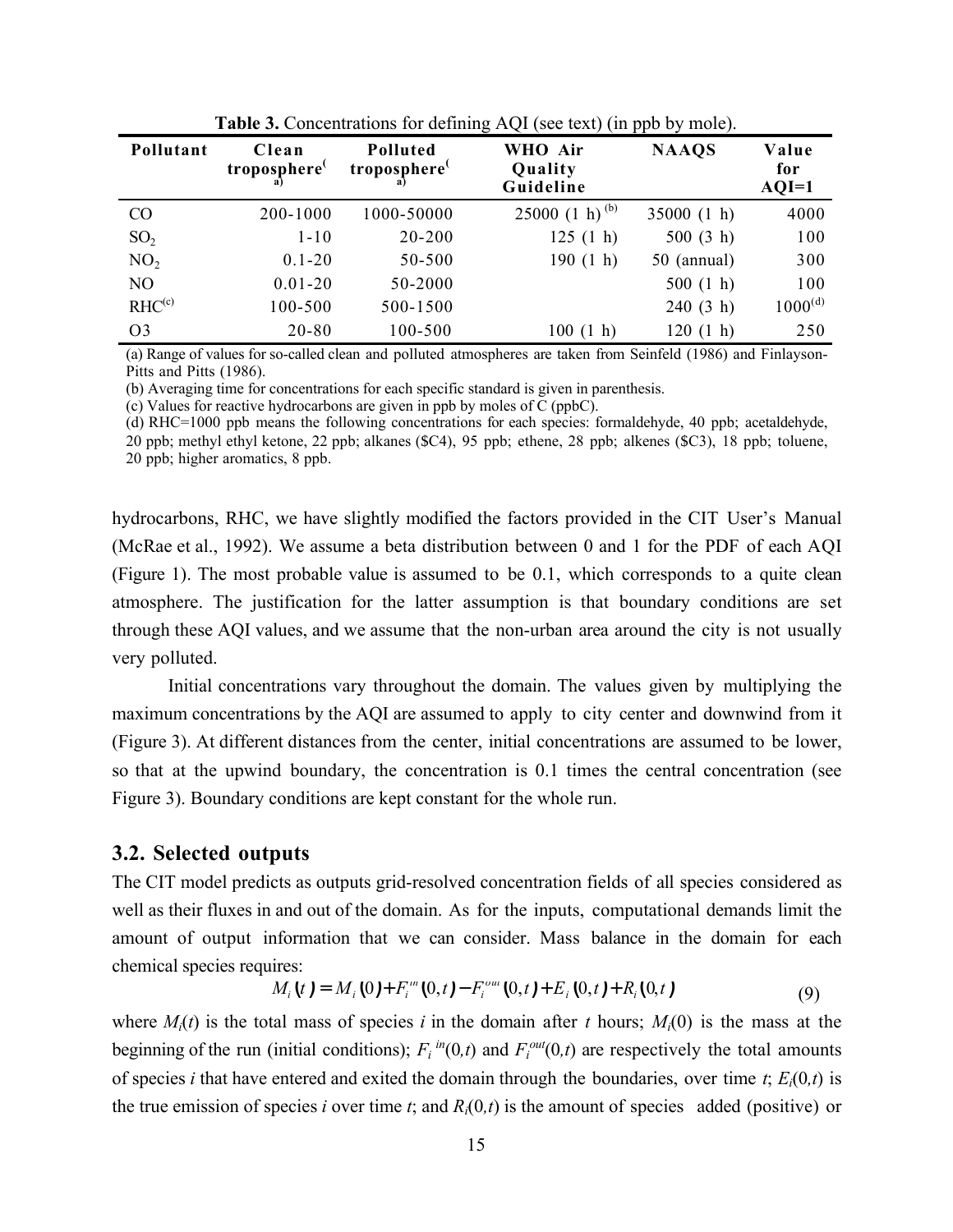| Pollutant          | Clean<br>troposphere <sup>(</sup> | WHO Air<br><b>Polluted</b><br>troposphere <sup>(</sup><br>Quality<br>Guideline |                     | <b>NAAQS</b> | Value<br>for<br>$AQI=1$ |
|--------------------|-----------------------------------|--------------------------------------------------------------------------------|---------------------|--------------|-------------------------|
| $\rm CO$           | 200-1000                          | 1000-50000                                                                     | 25000 $(1 h)^{(b)}$ | 35000(1 h)   | 4000                    |
| SO <sub>2</sub>    | $1 - 10$                          | 20-200                                                                         | 125(1 h)            | 500(3 h)     | 100                     |
| NO <sub>2</sub>    | $0.1 - 20$                        | 50-500                                                                         | 190(1 h)            | 50 (annual)  | 300                     |
| N <sub>O</sub>     | $0.01 - 20$                       | 50-2000                                                                        |                     | 500(1 h)     | 100                     |
| RHC <sup>(c)</sup> | 100-500                           | 500-1500                                                                       |                     | 240(3 h)     | $1000^{\text{(d)}}$     |
| O <sub>3</sub>     | $20 - 80$                         | 100-500                                                                        | 100(1 h)            | 120(1 h)     | 250                     |

**Table 3.** Concentrations for defining AQI (see text) (in ppb by mole).

(a) Range of values for so-called clean and polluted atmospheres are taken from Seinfeld (1986) and Finlayson-Pitts and Pitts (1986).

(b) Averaging time for concentrations for each specific standard is given in parenthesis.

(c) Values for reactive hydrocarbons are given in ppb by moles of C (ppbC).

(d) RHC=1000 ppb means the following concentrations for each species: formaldehyde, 40 ppb; acetaldehyde,

20 ppb; methyl ethyl ketone, 22 ppb; alkanes (\$C4), 95 ppb; ethene, 28 ppb; alkenes (\$C3), 18 ppb; toluene, 20 ppb; higher aromatics, 8 ppb.

hydrocarbons, RHC, we have slightly modified the factors provided in the CIT User's Manual (McRae et al., 1992). We assume a beta distribution between 0 and 1 for the PDF of each AQI (Figure 1). The most probable value is assumed to be 0.1, which corresponds to a quite clean atmosphere. The justification for the latter assumption is that boundary conditions are set through these AQI values, and we assume that the non-urban area around the city is not usually very polluted.

Initial concentrations vary throughout the domain. The values given by multiplying the maximum concentrations by the AQI are assumed to apply to city center and downwind from it (Figure 3). At different distances from the center, initial concentrations are assumed to be lower, so that at the upwind boundary, the concentration is 0.1 times the central concentration (see Figure 3). Boundary conditions are kept constant for the whole run.

#### **3.2. Selected outputs**

The CIT model predicts as outputs grid-resolved concentration fields of all species considered as well as their fluxes in and out of the domain. As for the inputs, computational demands limit the amount of output information that we can consider. Mass balance in the domain for each chemical species requires:

$$
M_i(t) = M_i(0) + F_i^m(0,t) - F_i^{out}(0,t) + E_i(0,t) + R_i(0,t)
$$
\n(9)

where  $M_i(t)$  is the total mass of species *i* in the domain after *t* hours;  $M_i(0)$  is the mass at the beginning of the run (initial conditions);  $F_i^{in}(0,t)$  and  $F_i^{out}(0,t)$  are respectively the total amounts of species *i* that have entered and exited the domain through the boundaries, over time *t*;  $E_i(0,t)$  is the true emission of species *i* over time *t*; and  $R_i(0,t)$  is the amount of species added (positive) or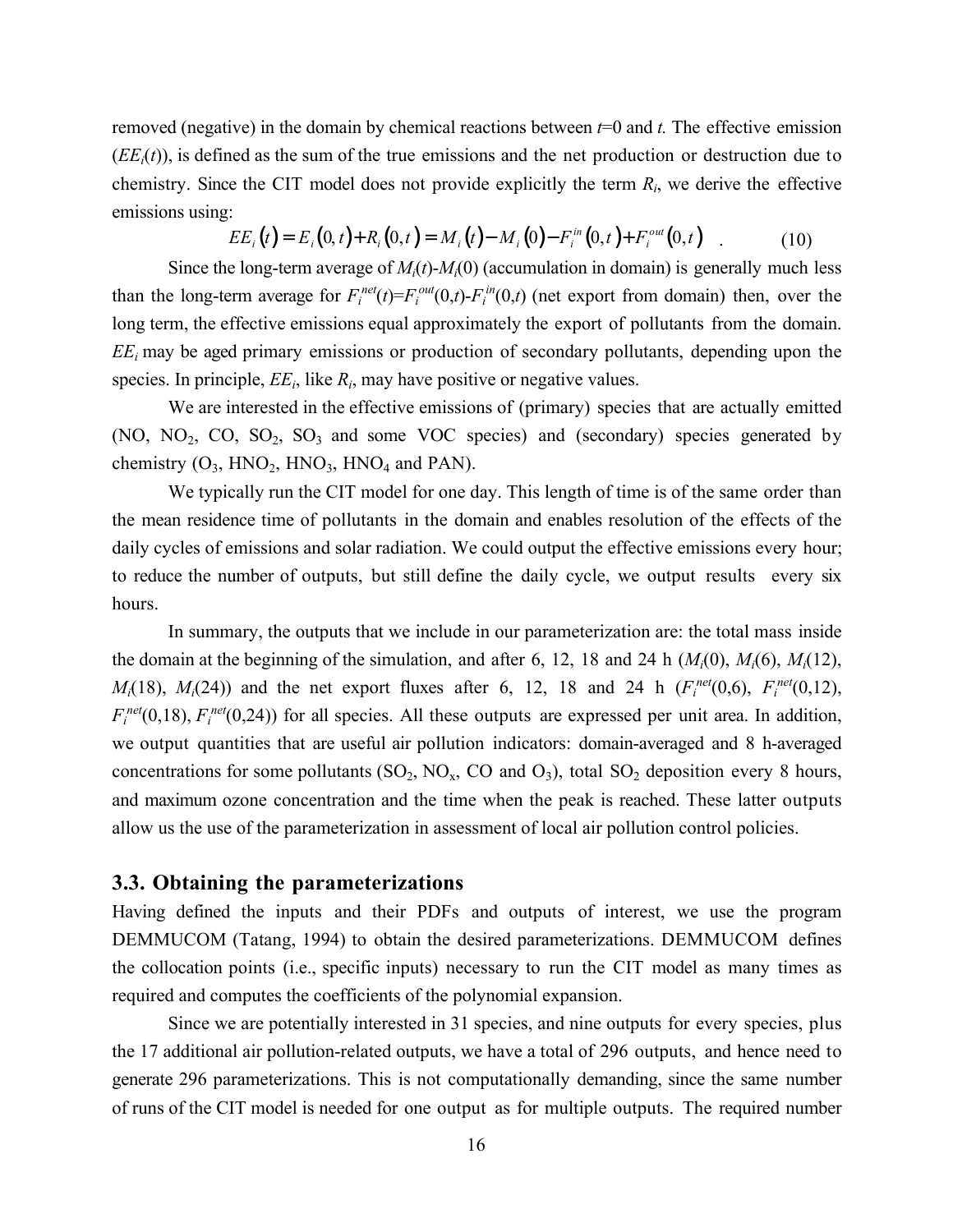removed (negative) in the domain by chemical reactions between *t*=0 and *t.* The effective emission  $(EE<sub>i</sub>(t))$ , is defined as the sum of the true emissions and the net production or destruction due to chemistry. Since the CIT model does not provide explicitly the term *Ri*, we derive the effective emissions using:

$$
EE_i(t) = E_i(0, t) + R_i(0, t) = M_i(t) - M_i(0) - F_i^{in}(0, t) + F_i^{out}(0, t)
$$
 (10)

Since the long-term average of  $M_i(t)$ - $M_i(0)$  (accumulation in domain) is generally much less than the long-term average for  $F_i^{net}(t) = F_i^{out}(0,t) - F_i^{in}(0,t)$  (net export from domain) then, over the long term, the effective emissions equal approximately the export of pollutants from the domain. *EEi* may be aged primary emissions or production of secondary pollutants, depending upon the species. In principle,  $EE_i$ , like  $R_i$ , may have positive or negative values.

We are interested in the effective emissions of (primary) species that are actually emitted (NO,  $NO_2$ ,  $CO$ ,  $SO_2$ ,  $SO_3$  and some VOC species) and (secondary) species generated by chemistry  $(O_3, HNO_2, HNO_3, HNO_4$  and PAN).

We typically run the CIT model for one day. This length of time is of the same order than the mean residence time of pollutants in the domain and enables resolution of the effects of the daily cycles of emissions and solar radiation. We could output the effective emissions every hour; to reduce the number of outputs, but still define the daily cycle, we output results every six hours.

In summary, the outputs that we include in our parameterization are: the total mass inside the domain at the beginning of the simulation, and after 6, 12, 18 and 24 h  $(M<sub>i</sub>(0), M<sub>i</sub>(6), M<sub>i</sub>(12))$ , *M*<sub>i</sub>(18), *M*<sub>i</sub>(24)) and the net export fluxes after 6, 12, 18 and 24 h ( $F_i^{net}(0,6)$ ,  $F_i^{net}(0,12)$ ,  $F_i^{net}(0,18)$ ,  $F_i^{net}(0,24)$ ) for all species. All these outputs are expressed per unit area. In addition, we output quantities that are useful air pollution indicators: domain-averaged and 8 h-averaged concentrations for some pollutants  $(SO_2, NO_x, CO \text{ and } O_3)$ , total  $SO_2$  deposition every 8 hours, and maximum ozone concentration and the time when the peak is reached. These latter outputs allow us the use of the parameterization in assessment of local air pollution control policies.

#### **3.3. Obtaining the parameterizations**

Having defined the inputs and their PDFs and outputs of interest, we use the program DEMMUCOM (Tatang, 1994) to obtain the desired parameterizations. DEMMUCOM defines the collocation points (i.e., specific inputs) necessary to run the CIT model as many times as required and computes the coefficients of the polynomial expansion.

Since we are potentially interested in 31 species, and nine outputs for every species, plus the 17 additional air pollution-related outputs, we have a total of 296 outputs, and hence need to generate 296 parameterizations. This is not computationally demanding, since the same number of runs of the CIT model is needed for one output as for multiple outputs. The required number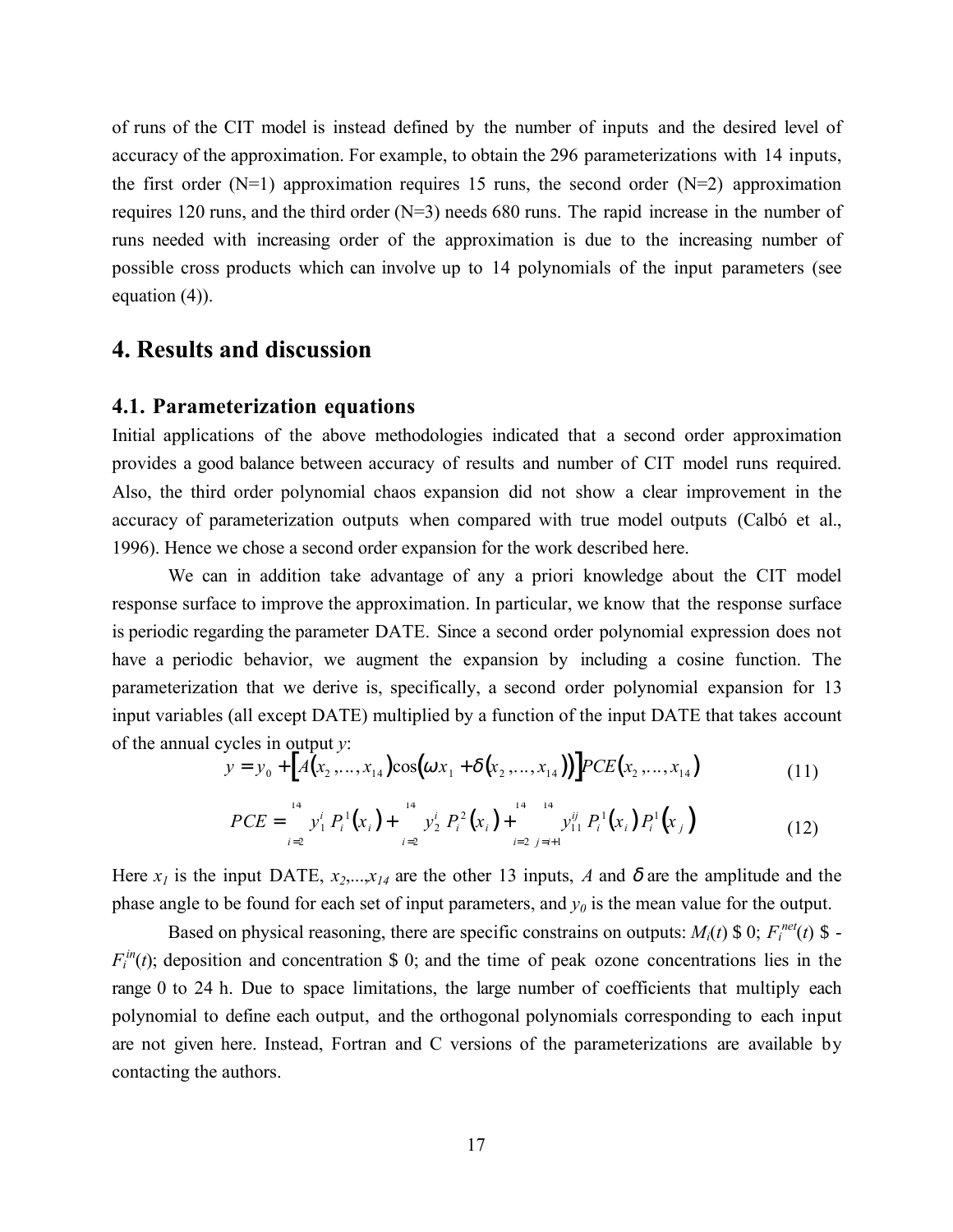of runs of the CIT model is instead defined by the number of inputs and the desired level of accuracy of the approximation. For example, to obtain the 296 parameterizations with 14 inputs, the first order  $(N=1)$  approximation requires 15 runs, the second order  $(N=2)$  approximation requires 120 runs, and the third order (N=3) needs 680 runs. The rapid increase in the number of runs needed with increasing order of the approximation is due to the increasing number of possible cross products which can involve up to 14 polynomials of the input parameters (see equation (4)).

#### **4. Results and discussion**

#### **4.1. Parameterization equations**

Initial applications of the above methodologies indicated that a second order approximation provides a good balance between accuracy of results and number of CIT model runs required. Also, the third order polynomial chaos expansion did not show a clear improvement in the accuracy of parameterization outputs when compared with true model outputs (Calbó et al., 1996). Hence we chose a second order expansion for the work described here.

We can in addition take advantage of any a priori knowledge about the CIT model response surface to improve the approximation. In particular, we know that the response surface is periodic regarding the parameter DATE. Since a second order polynomial expression does not have a periodic behavior, we augment the expansion by including a cosine function. The parameterization that we derive is, specifically, a second order polynomial expansion for 13 input variables (all except DATE) multiplied by a function of the input DATE that takes account of the annual cycles in output *y*:

$$
y = y_0 + [A(x_2,...,x_{14})\cos(\omega x_1 + \delta(x_2,...,x_{14}))]PCE(x_2,...,x_{14})
$$
\n(11)

$$
PCE = \sum_{i=2}^{14} y_1^i P_i^1(x_i) + \sum_{i=2}^{14} y_2^i P_i^2(x_i) + \sum_{i=2}^{14} y_{i1}^{ij} P_i^1(x_i) P_i^1(x_j)
$$
(12)

Here  $x_1$  is the input DATE,  $x_2,...,x_{14}$  are the other 13 inputs, *A* and  $\delta$  are the amplitude and the phase angle to be found for each set of input parameters, and  $y_0$  is the mean value for the output.

Based on physical reasoning, there are specific constrains on outputs:  $M_i(t)$  \$ 0;  $F_i^{net}(t)$  \$ - $F_i^{\text{in}}(t)$ ; deposition and concentration \$ 0; and the time of peak ozone concentrations lies in the range 0 to 24 h. Due to space limitations, the large number of coefficients that multiply each polynomial to define each output, and the orthogonal polynomials corresponding to each input are not given here. Instead, Fortran and C versions of the parameterizations are available by contacting the authors.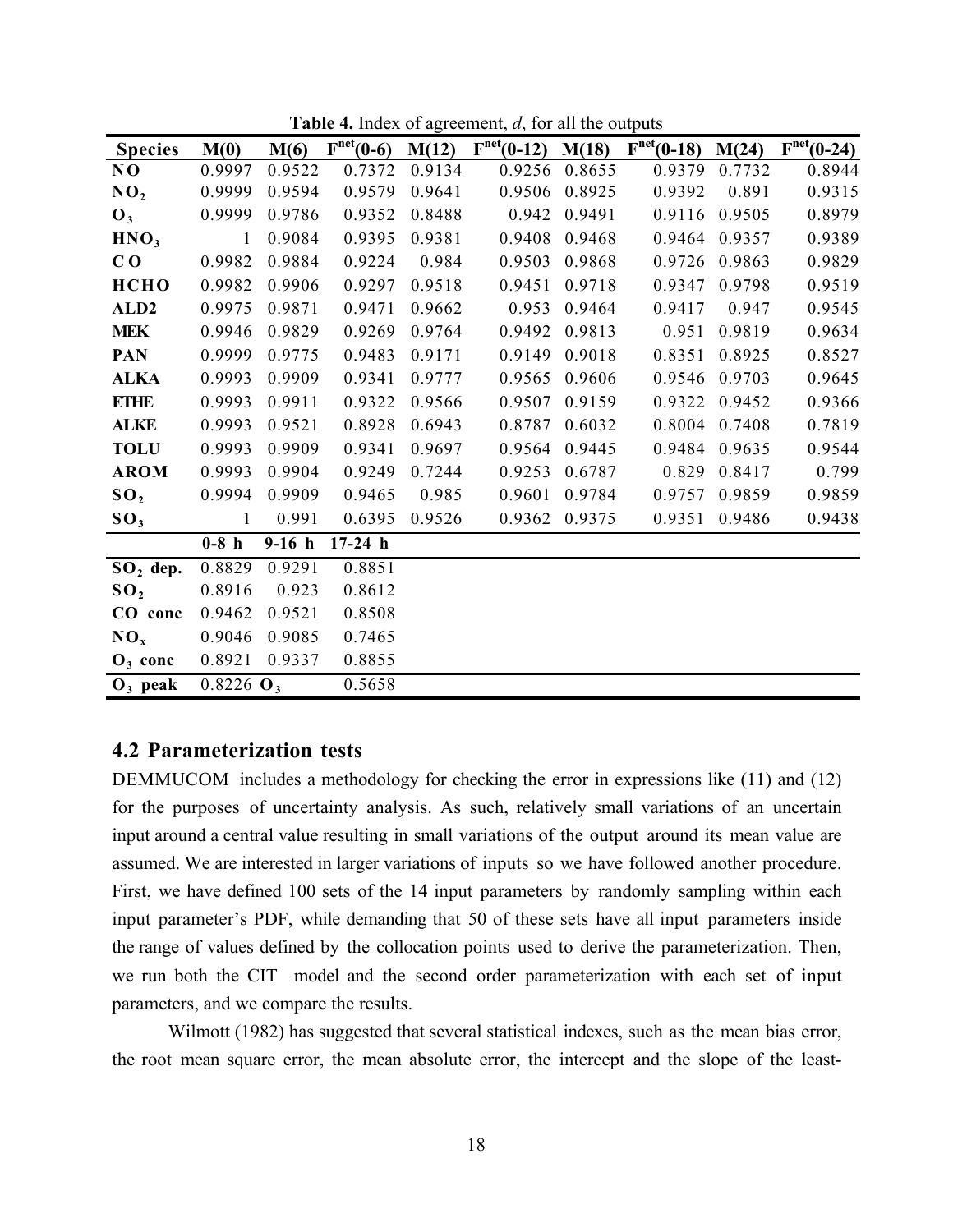| <b>Species</b>   | M(0)                    | M(6)    | $Fnet(0-6)$ | M(12)  | $Fnet(0-12)$ | M(18)  | $Fnet(0-18)$ | M(24)  | $Fnet(0-24)$ |
|------------------|-------------------------|---------|-------------|--------|--------------|--------|--------------|--------|--------------|
| N <sub>0</sub>   | 0.9997                  | 0.9522  | 0.7372      | 0.9134 | 0.9256       | 0.8655 | 0.9379       | 0.7732 | 0.8944       |
| NO <sub>2</sub>  | 0.9999                  | 0.9594  | 0.9579      | 0.9641 | 0.9506       | 0.8925 | 0.9392       | 0.891  | 0.9315       |
| $\mathbf{0}_3$   | 0.9999                  | 0.9786  | 0.9352      | 0.8488 | 0.942        | 0.9491 | 0.9116       | 0.9505 | 0.8979       |
| HNO <sub>3</sub> | $\mathbf{1}$            | 0.9084  | 0.9395      | 0.9381 | 0.9408       | 0.9468 | 0.9464       | 0.9357 | 0.9389       |
| C <sub>0</sub>   | 0.9982                  | 0.9884  | 0.9224      | 0.984  | 0.9503       | 0.9868 | 0.9726       | 0.9863 | 0.9829       |
| <b>HCHO</b>      | 0.9982                  | 0.9906  | 0.9297      | 0.9518 | 0.9451       | 0.9718 | 0.9347       | 0.9798 | 0.9519       |
| ALD <sub>2</sub> | 0.9975                  | 0.9871  | 0.9471      | 0.9662 | 0.953        | 0.9464 | 0.9417       | 0.947  | 0.9545       |
| <b>MEK</b>       | 0.9946                  | 0.9829  | 0.9269      | 0.9764 | 0.9492       | 0.9813 | 0.951        | 0.9819 | 0.9634       |
| <b>PAN</b>       | 0.9999                  | 0.9775  | 0.9483      | 0.9171 | 0.9149       | 0.9018 | 0.8351       | 0.8925 | 0.8527       |
| <b>ALKA</b>      | 0.9993                  | 0.9909  | 0.9341      | 0.9777 | 0.9565       | 0.9606 | 0.9546       | 0.9703 | 0.9645       |
| <b>ETHE</b>      | 0.9993                  | 0.9911  | 0.9322      | 0.9566 | 0.9507       | 0.9159 | 0.9322       | 0.9452 | 0.9366       |
| <b>ALKE</b>      | 0.9993                  | 0.9521  | 0.8928      | 0.6943 | 0.8787       | 0.6032 | 0.8004       | 0.7408 | 0.7819       |
| <b>TOLU</b>      | 0.9993                  | 0.9909  | 0.9341      | 0.9697 | 0.9564       | 0.9445 | 0.9484       | 0.9635 | 0.9544       |
| <b>AROM</b>      | 0.9993                  | 0.9904  | 0.9249      | 0.7244 | 0.9253       | 0.6787 | 0.829        | 0.8417 | 0.799        |
| SO <sub>2</sub>  | 0.9994                  | 0.9909  | 0.9465      | 0.985  | 0.9601       | 0.9784 | 0.9757       | 0.9859 | 0.9859       |
| SO <sub>3</sub>  | $\mathbf{1}$            | 0.991   | 0.6395      | 0.9526 | 0.9362       | 0.9375 | 0.9351       | 0.9486 | 0.9438       |
|                  | $0-8$ h                 | $9-16h$ | $17-24 h$   |        |              |        |              |        |              |
| $SO2$ dep.       | 0.8829                  | 0.9291  | 0.8851      |        |              |        |              |        |              |
| SO <sub>2</sub>  | 0.8916                  | 0.923   | 0.8612      |        |              |        |              |        |              |
| CO conc          | 0.9462                  | 0.9521  | 0.8508      |        |              |        |              |        |              |
| $NO_{x}$         | 0.9046                  | 0.9085  | 0.7465      |        |              |        |              |        |              |
| $O_3$ conc       | 0.8921                  | 0.9337  | 0.8855      |        |              |        |              |        |              |
| $O_3$ peak       | $0.8226$ O <sub>3</sub> |         | 0.5658      |        |              |        |              |        |              |

**Table 4.** Index of agreement, *d*, for all the outputs

#### **4.2 Parameterization tests**

DEMMUCOM includes a methodology for checking the error in expressions like (11) and (12) for the purposes of uncertainty analysis. As such, relatively small variations of an uncertain input around a central value resulting in small variations of the output around its mean value are assumed. We are interested in larger variations of inputs so we have followed another procedure. First, we have defined 100 sets of the 14 input parameters by randomly sampling within each input parameter's PDF, while demanding that 50 of these sets have all input parameters inside the range of values defined by the collocation points used to derive the parameterization. Then, we run both the CIT model and the second order parameterization with each set of input parameters, and we compare the results.

Wilmott (1982) has suggested that several statistical indexes, such as the mean bias error, the root mean square error, the mean absolute error, the intercept and the slope of the least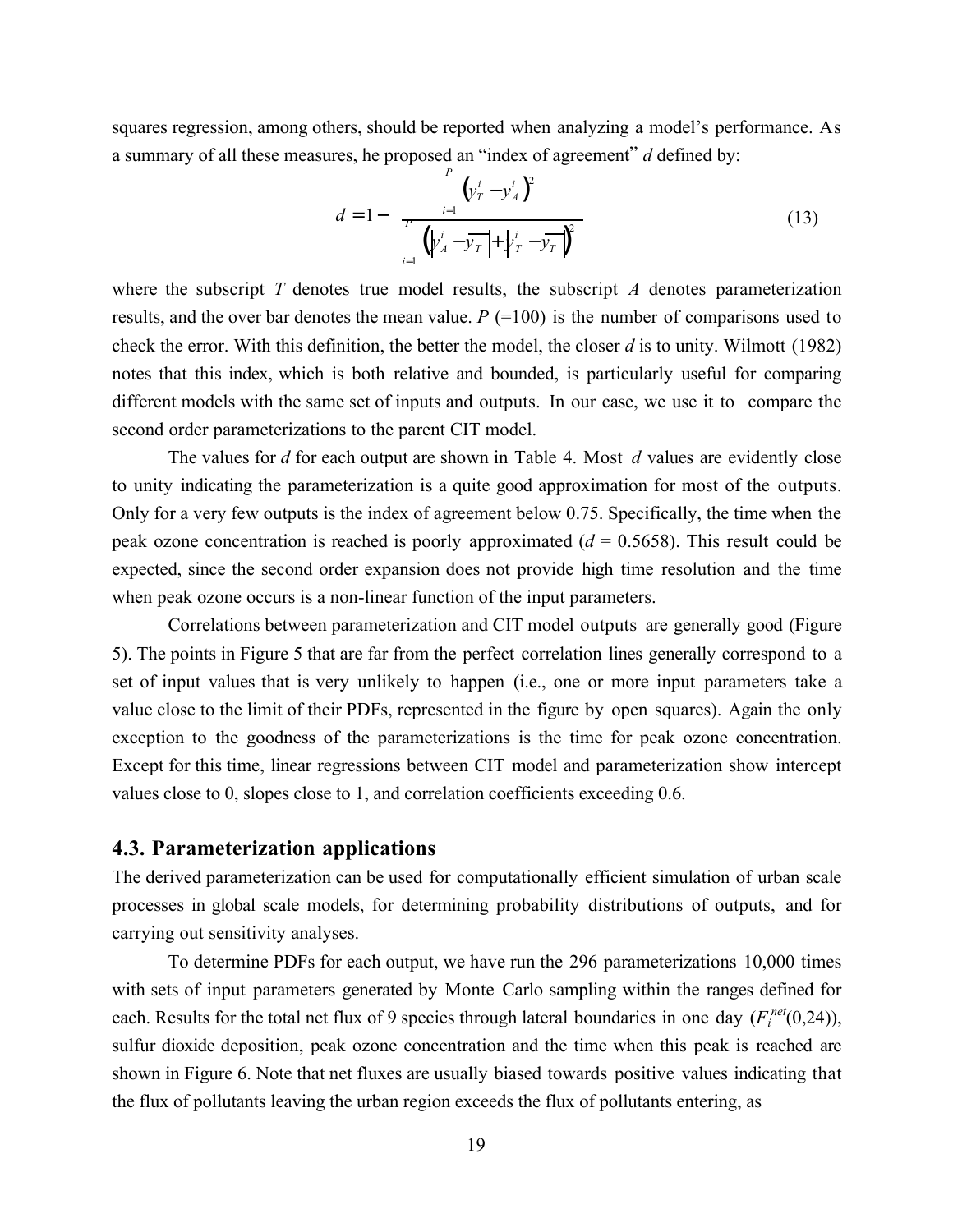squares regression, among others, should be reported when analyzing a model's performance. As a summary of all these measures, he proposed an "index of agreement" *d* defined by:

$$
d = 1 - \frac{\sum_{i=1}^{P} (\nu_T^i - \nu_A^i)^2}{\sum_{i=1}^{P} (\nu_A^i - \overline{\nu_T} + \nu_T^i - \overline{\nu_T})^2}
$$
(13)

where the subscript *T* denotes true model results, the subscript *A* denotes parameterization results, and the over bar denotes the mean value.  $P$  (=100) is the number of comparisons used to check the error. With this definition, the better the model, the closer *d* is to unity. Wilmott (1982) notes that this index, which is both relative and bounded, is particularly useful for comparing different models with the same set of inputs and outputs. In our case, we use it to compare the second order parameterizations to the parent CIT model.

The values for *d* for each output are shown in Table 4. Most *d* values are evidently close to unity indicating the parameterization is a quite good approximation for most of the outputs. Only for a very few outputs is the index of agreement below 0.75. Specifically, the time when the peak ozone concentration is reached is poorly approximated  $(d = 0.5658)$ . This result could be expected, since the second order expansion does not provide high time resolution and the time when peak ozone occurs is a non-linear function of the input parameters.

Correlations between parameterization and CIT model outputs are generally good (Figure 5). The points in Figure 5 that are far from the perfect correlation lines generally correspond to a set of input values that is very unlikely to happen (i.e., one or more input parameters take a value close to the limit of their PDFs, represented in the figure by open squares). Again the only exception to the goodness of the parameterizations is the time for peak ozone concentration. Except for this time, linear regressions between CIT model and parameterization show intercept values close to 0, slopes close to 1, and correlation coefficients exceeding 0.6.

#### **4.3. Parameterization applications**

The derived parameterization can be used for computationally efficient simulation of urban scale processes in global scale models, for determining probability distributions of outputs, and for carrying out sensitivity analyses.

To determine PDFs for each output, we have run the 296 parameterizations 10,000 times with sets of input parameters generated by Monte Carlo sampling within the ranges defined for each. Results for the total net flux of 9 species through lateral boundaries in one day  $(F_i^{net}(0,24))$ , sulfur dioxide deposition, peak ozone concentration and the time when this peak is reached are shown in Figure 6. Note that net fluxes are usually biased towards positive values indicating that the flux of pollutants leaving the urban region exceeds the flux of pollutants entering, as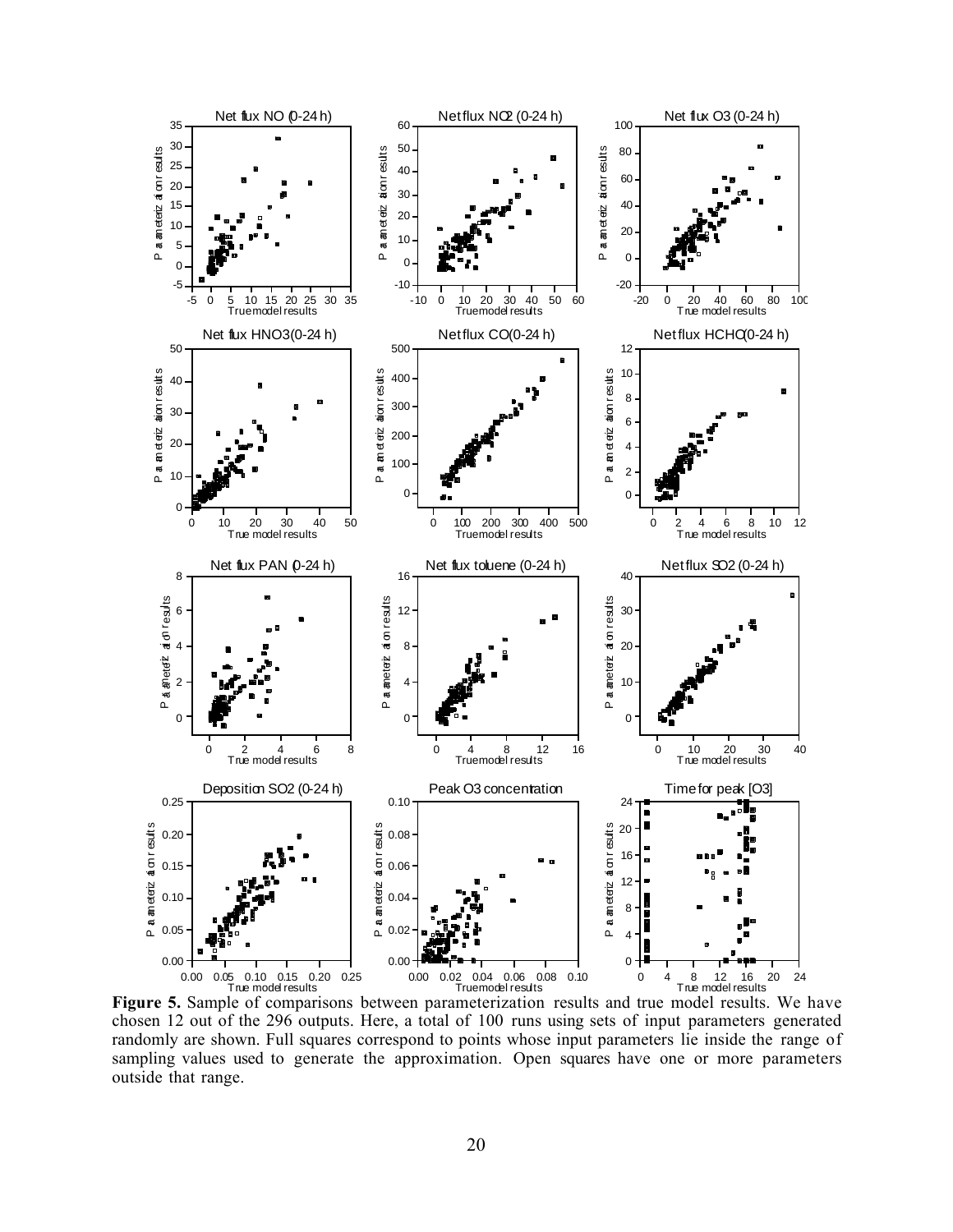

**Figure 5.** Sample of comparisons between parameterization results and true model results. We have chosen 12 out of the 296 outputs. Here, a total of 100 runs using sets of input parameters generated randomly are shown. Full squares correspond to points whose input parameters lie inside the range of sampling values used to generate the approximation. Open squares have one or more parameters outside that range.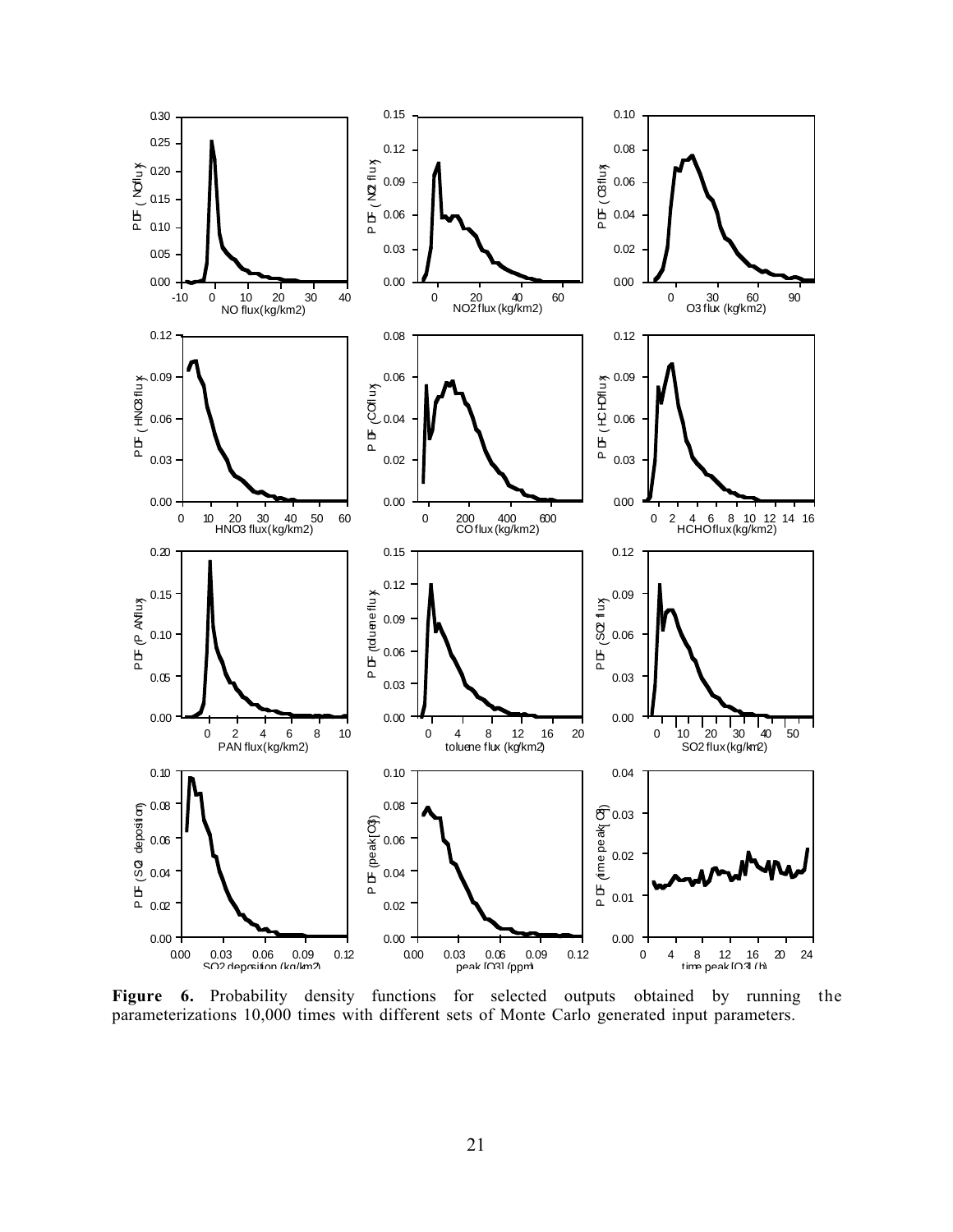

**Figure 6.** Probability density functions for selected outputs obtained by running the parameterizations 10,000 times with different sets of Monte Carlo generated input parameters.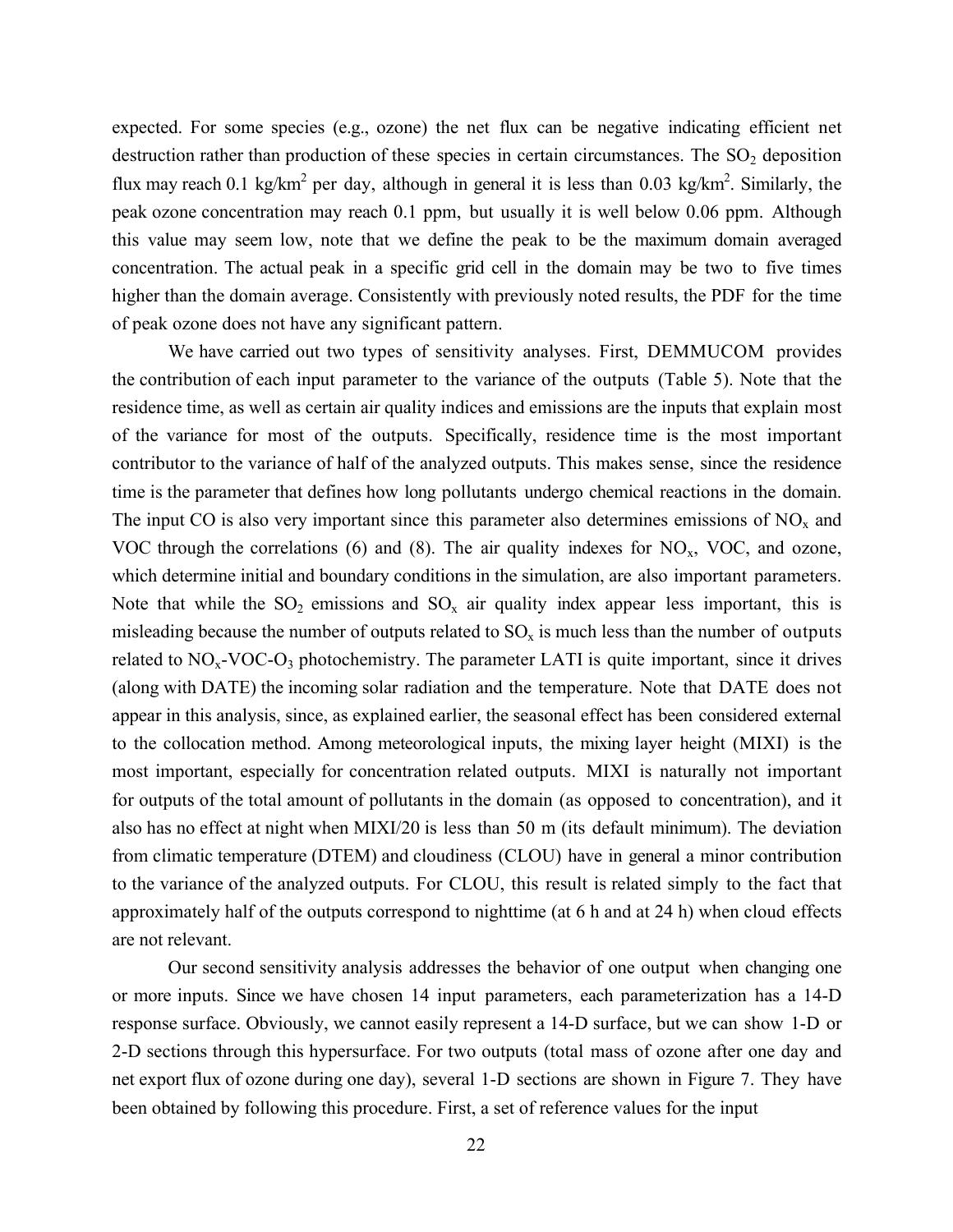expected. For some species (e.g., ozone) the net flux can be negative indicating efficient net destruction rather than production of these species in certain circumstances. The  $SO<sub>2</sub>$  deposition flux may reach 0.1 kg/km<sup>2</sup> per day, although in general it is less than 0.03 kg/km<sup>2</sup>. Similarly, the peak ozone concentration may reach 0.1 ppm, but usually it is well below 0.06 ppm. Although this value may seem low, note that we define the peak to be the maximum domain averaged concentration. The actual peak in a specific grid cell in the domain may be two to five times higher than the domain average. Consistently with previously noted results, the PDF for the time of peak ozone does not have any significant pattern.

We have carried out two types of sensitivity analyses. First, DEMMUCOM provides the contribution of each input parameter to the variance of the outputs (Table 5). Note that the residence time, as well as certain air quality indices and emissions are the inputs that explain most of the variance for most of the outputs. Specifically, residence time is the most important contributor to the variance of half of the analyzed outputs. This makes sense, since the residence time is the parameter that defines how long pollutants undergo chemical reactions in the domain. The input CO is also very important since this parameter also determines emissions of  $NO<sub>x</sub>$  and VOC through the correlations (6) and (8). The air quality indexes for  $NO_x$ , VOC, and ozone, which determine initial and boundary conditions in the simulation, are also important parameters. Note that while the  $SO_2$  emissions and  $SO_x$  air quality index appear less important, this is misleading because the number of outputs related to  $SO_x$  is much less than the number of outputs related to  $NO<sub>x</sub>$ -VOC- $O<sub>3</sub>$  photochemistry. The parameter LATI is quite important, since it drives (along with DATE) the incoming solar radiation and the temperature. Note that DATE does not appear in this analysis, since, as explained earlier, the seasonal effect has been considered external to the collocation method. Among meteorological inputs, the mixing layer height (MIXI) is the most important, especially for concentration related outputs. MIXI is naturally not important for outputs of the total amount of pollutants in the domain (as opposed to concentration), and it also has no effect at night when MIXI/20 is less than 50 m (its default minimum). The deviation from climatic temperature (DTEM) and cloudiness (CLOU) have in general a minor contribution to the variance of the analyzed outputs. For CLOU, this result is related simply to the fact that approximately half of the outputs correspond to nighttime (at 6 h and at 24 h) when cloud effects are not relevant.

Our second sensitivity analysis addresses the behavior of one output when changing one or more inputs. Since we have chosen 14 input parameters, each parameterization has a 14-D response surface. Obviously, we cannot easily represent a 14-D surface, but we can show 1-D or 2-D sections through this hypersurface. For two outputs (total mass of ozone after one day and net export flux of ozone during one day), several 1-D sections are shown in Figure 7. They have been obtained by following this procedure. First, a set of reference values for the input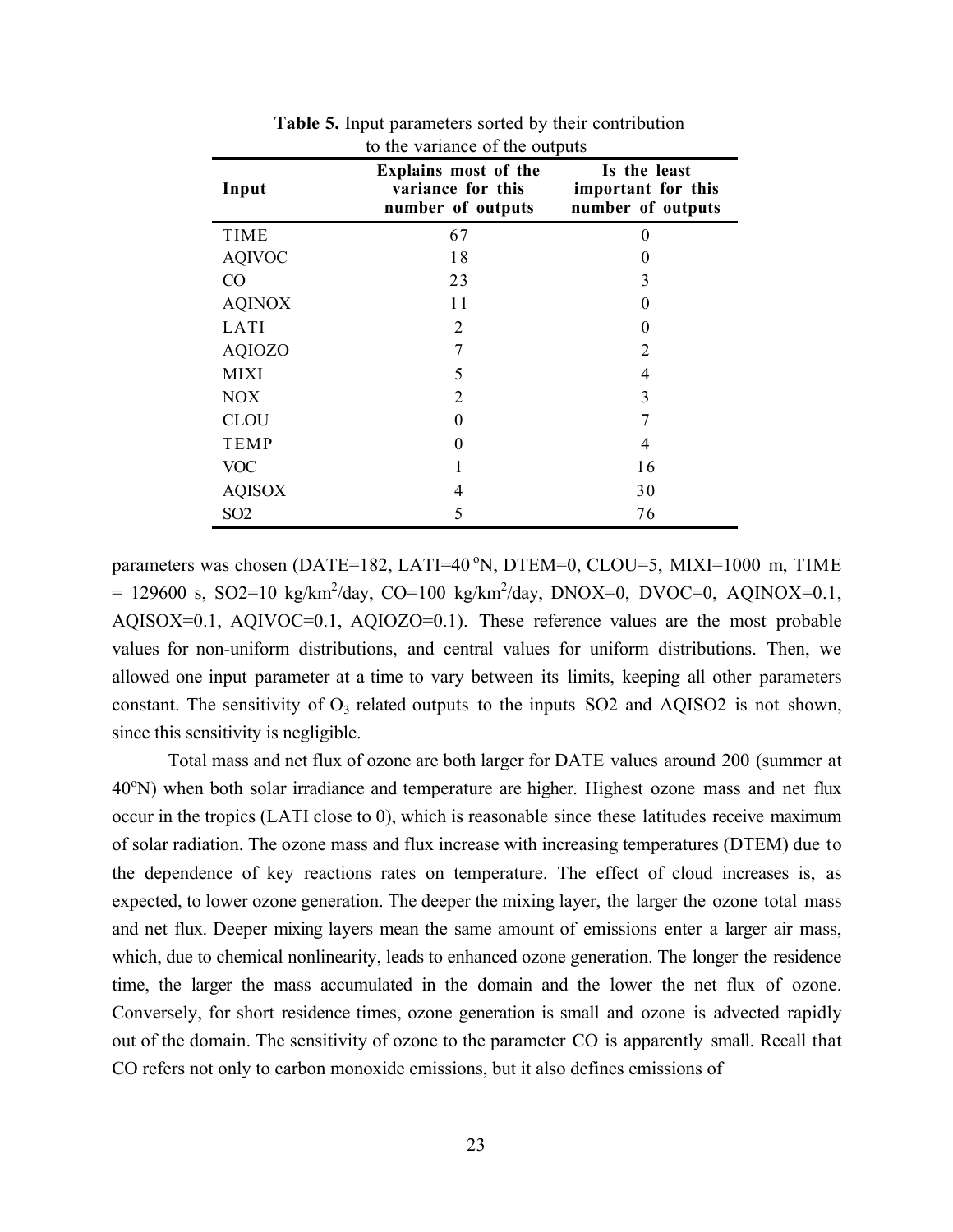| to the variance of the outputs |                                                                |                                                         |  |  |  |  |
|--------------------------------|----------------------------------------------------------------|---------------------------------------------------------|--|--|--|--|
| Input                          | Explains most of the<br>variance for this<br>number of outputs | Is the least<br>important for this<br>number of outputs |  |  |  |  |
| <b>TIME</b>                    | 67                                                             | $\theta$                                                |  |  |  |  |
| <b>AQIVOC</b>                  | 18                                                             | $\theta$                                                |  |  |  |  |
| CO                             | 23                                                             | 3                                                       |  |  |  |  |
| <b>AQINOX</b>                  | 11                                                             | $\theta$                                                |  |  |  |  |
| LATI                           | 2                                                              | $\theta$                                                |  |  |  |  |
| <b>AQIOZO</b>                  | 7                                                              | 2                                                       |  |  |  |  |
| <b>MIXI</b>                    | 5                                                              | 4                                                       |  |  |  |  |
| <b>NOX</b>                     | $\overline{2}$                                                 | 3                                                       |  |  |  |  |
| <b>CLOU</b>                    | $\Omega$                                                       |                                                         |  |  |  |  |
| <b>TEMP</b>                    | 0                                                              | 4                                                       |  |  |  |  |
| <b>VOC</b>                     |                                                                | 16                                                      |  |  |  |  |
| <b>AQISOX</b>                  | 4                                                              | 30                                                      |  |  |  |  |
| SO <sub>2</sub>                | 5                                                              | 76                                                      |  |  |  |  |

**Table 5.** Input parameters sorted by their contribution to the variance of the outputs

parameters was chosen (DATE=182, LATI=40 $\degree$ N, DTEM=0, CLOU=5, MIXI=1000 m, TIME = 129600 s, SO2=10 kg/km<sup>2</sup>/day, CO=100 kg/km<sup>2</sup>/day, DNOX=0, DVOC=0, AQINOX=0.1, AQISOX=0.1, AQIVOC=0.1, AQIOZO=0.1). These reference values are the most probable values for non-uniform distributions, and central values for uniform distributions. Then, we allowed one input parameter at a time to vary between its limits, keeping all other parameters constant. The sensitivity of  $O_3$  related outputs to the inputs SO2 and AQISO2 is not shown, since this sensitivity is negligible.

Total mass and net flux of ozone are both larger for DATE values around 200 (summer at 40°N) when both solar irradiance and temperature are higher. Highest ozone mass and net flux occur in the tropics (LATI close to 0), which is reasonable since these latitudes receive maximum of solar radiation. The ozone mass and flux increase with increasing temperatures (DTEM) due to the dependence of key reactions rates on temperature. The effect of cloud increases is, as expected, to lower ozone generation. The deeper the mixing layer, the larger the ozone total mass and net flux. Deeper mixing layers mean the same amount of emissions enter a larger air mass, which, due to chemical nonlinearity, leads to enhanced ozone generation. The longer the residence time, the larger the mass accumulated in the domain and the lower the net flux of ozone. Conversely, for short residence times, ozone generation is small and ozone is advected rapidly out of the domain. The sensitivity of ozone to the parameter CO is apparently small. Recall that CO refers not only to carbon monoxide emissions, but it also defines emissions of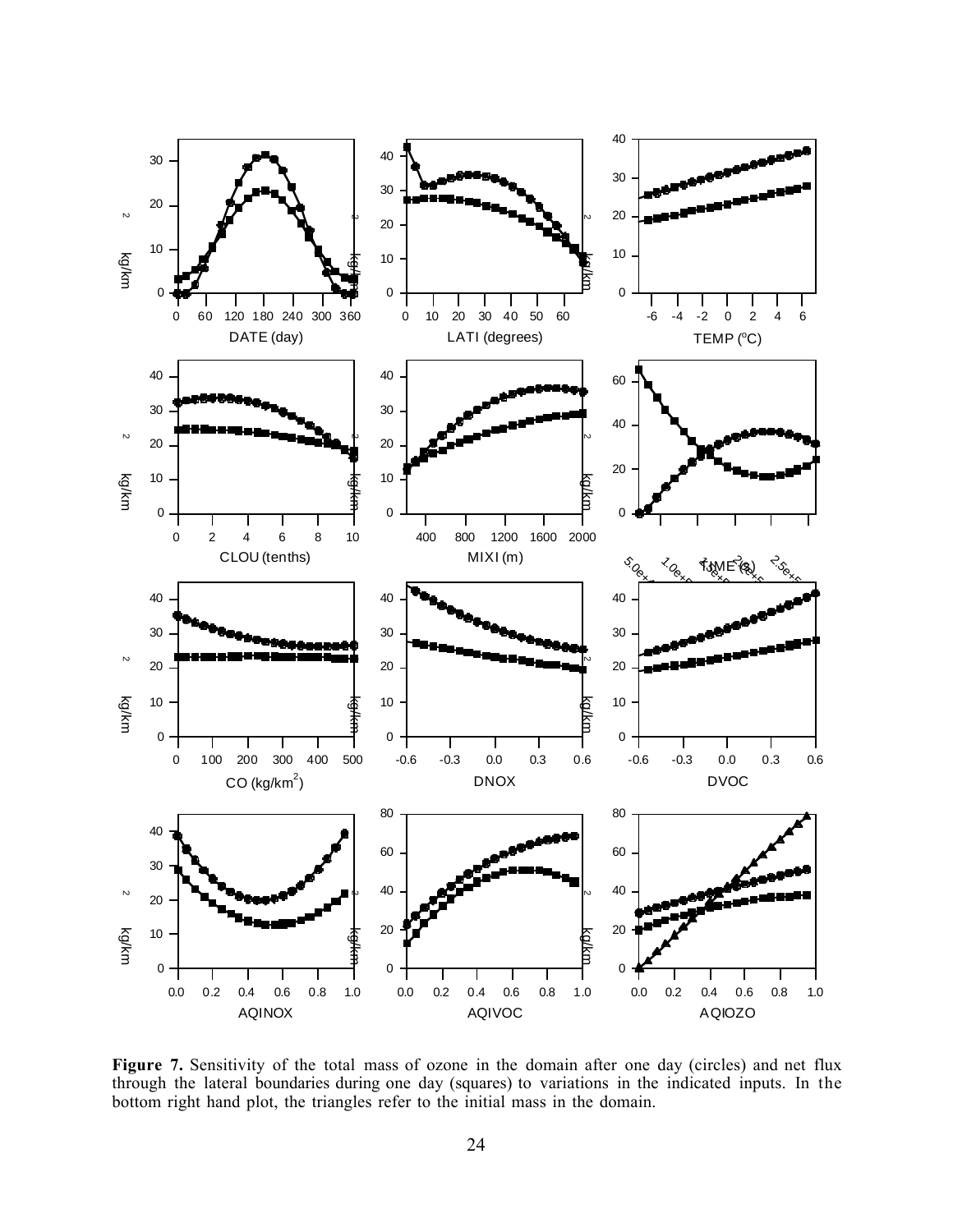

**Figure 7.** Sensitivity of the total mass of ozone in the domain after one day (circles) and net flux through the lateral boundaries during one day (squares) to variations in the indicated inputs. In the bottom right hand plot, the triangles refer to the initial mass in the domain.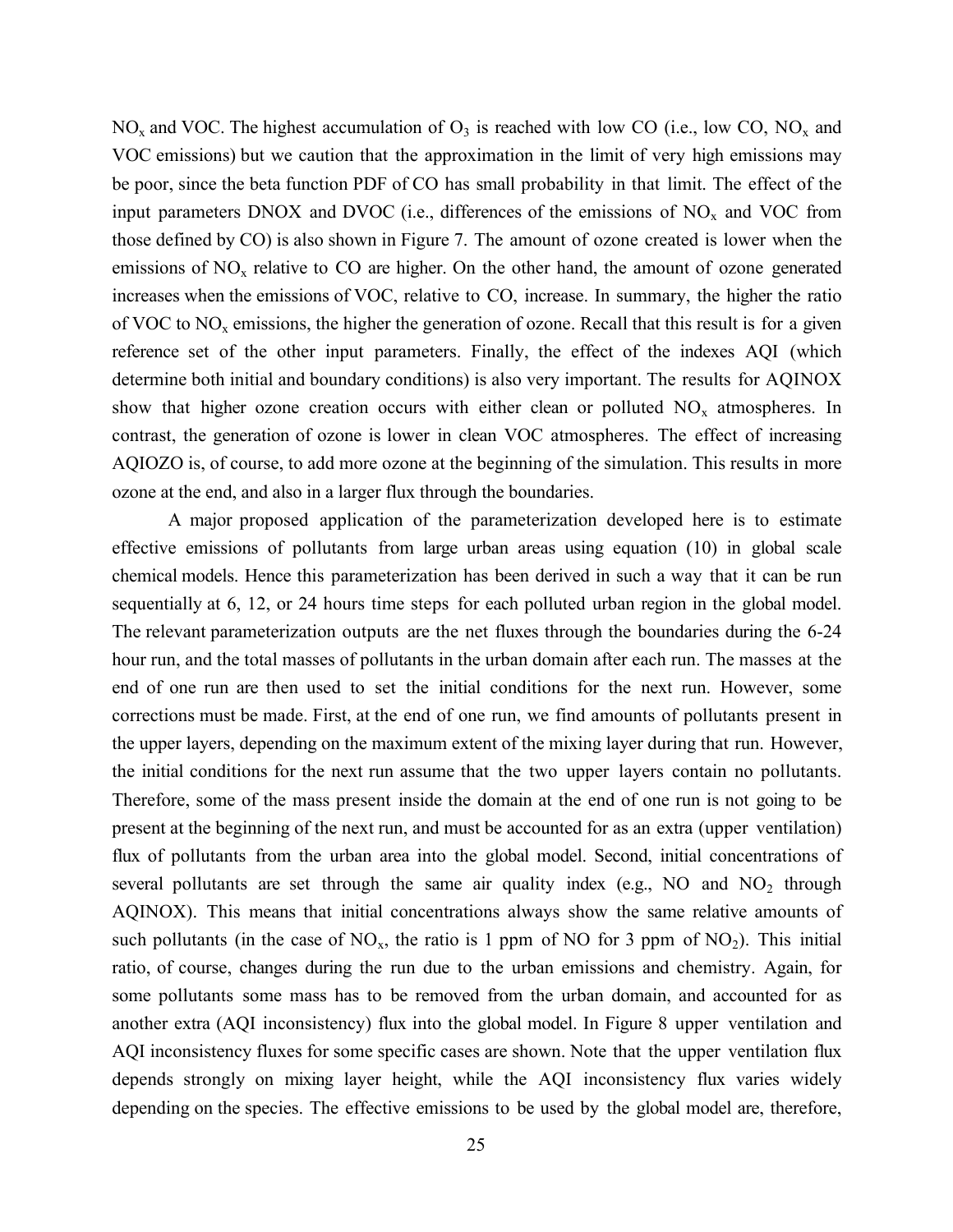$NO<sub>x</sub>$  and VOC. The highest accumulation of  $O<sub>3</sub>$  is reached with low CO (i.e., low CO, NO<sub>x</sub> and VOC emissions) but we caution that the approximation in the limit of very high emissions may be poor, since the beta function PDF of CO has small probability in that limit. The effect of the input parameters DNOX and DVOC (i.e., differences of the emissions of  $NO<sub>x</sub>$  and VOC from those defined by CO) is also shown in Figure 7. The amount of ozone created is lower when the emissions of  $NO<sub>x</sub>$  relative to CO are higher. On the other hand, the amount of ozone generated increases when the emissions of VOC, relative to CO, increase. In summary, the higher the ratio of VOC to  $NO<sub>x</sub>$  emissions, the higher the generation of ozone. Recall that this result is for a given reference set of the other input parameters. Finally, the effect of the indexes AQI (which determine both initial and boundary conditions) is also very important. The results for AQINOX show that higher ozone creation occurs with either clean or polluted  $NO<sub>x</sub>$  atmospheres. In contrast, the generation of ozone is lower in clean VOC atmospheres. The effect of increasing AQIOZO is, of course, to add more ozone at the beginning of the simulation. This results in more ozone at the end, and also in a larger flux through the boundaries.

A major proposed application of the parameterization developed here is to estimate effective emissions of pollutants from large urban areas using equation (10) in global scale chemical models. Hence this parameterization has been derived in such a way that it can be run sequentially at 6, 12, or 24 hours time steps for each polluted urban region in the global model. The relevant parameterization outputs are the net fluxes through the boundaries during the 6-24 hour run, and the total masses of pollutants in the urban domain after each run. The masses at the end of one run are then used to set the initial conditions for the next run. However, some corrections must be made. First, at the end of one run, we find amounts of pollutants present in the upper layers, depending on the maximum extent of the mixing layer during that run. However, the initial conditions for the next run assume that the two upper layers contain no pollutants. Therefore, some of the mass present inside the domain at the end of one run is not going to be present at the beginning of the next run, and must be accounted for as an extra (upper ventilation) flux of pollutants from the urban area into the global model. Second, initial concentrations of several pollutants are set through the same air quality index (e.g., NO and  $NO<sub>2</sub>$  through AQINOX). This means that initial concentrations always show the same relative amounts of such pollutants (in the case of  $NO_x$ , the ratio is 1 ppm of NO for 3 ppm of  $NO_2$ ). This initial ratio, of course, changes during the run due to the urban emissions and chemistry. Again, for some pollutants some mass has to be removed from the urban domain, and accounted for as another extra (AQI inconsistency) flux into the global model. In Figure 8 upper ventilation and AQI inconsistency fluxes for some specific cases are shown. Note that the upper ventilation flux depends strongly on mixing layer height, while the AQI inconsistency flux varies widely depending on the species. The effective emissions to be used by the global model are, therefore,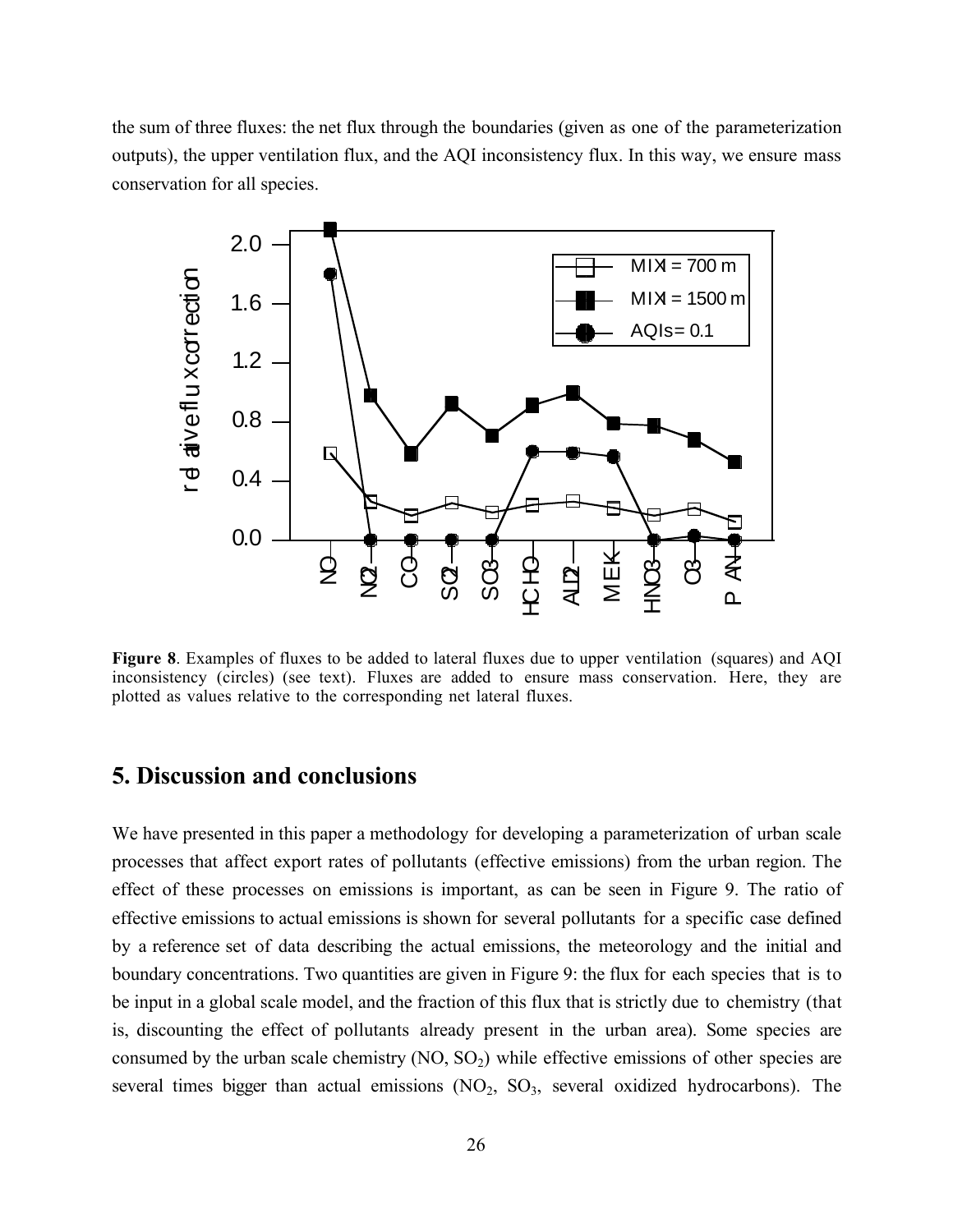the sum of three fluxes: the net flux through the boundaries (given as one of the parameterization outputs), the upper ventilation flux, and the AQI inconsistency flux. In this way, we ensure mass conservation for all species.



**Figure 8**. Examples of fluxes to be added to lateral fluxes due to upper ventilation (squares) and AQI inconsistency (circles) (see text). Fluxes are added to ensure mass conservation. Here, they are plotted as values relative to the corresponding net lateral fluxes.

### **5. Discussion and conclusions**

We have presented in this paper a methodology for developing a parameterization of urban scale processes that affect export rates of pollutants (effective emissions) from the urban region. The effect of these processes on emissions is important, as can be seen in Figure 9. The ratio of effective emissions to actual emissions is shown for several pollutants for a specific case defined by a reference set of data describing the actual emissions, the meteorology and the initial and boundary concentrations. Two quantities are given in Figure 9: the flux for each species that is to be input in a global scale model, and the fraction of this flux that is strictly due to chemistry (that is, discounting the effect of pollutants already present in the urban area). Some species are consumed by the urban scale chemistry  $(NO, SO<sub>2</sub>)$  while effective emissions of other species are several times bigger than actual emissions  $(NO<sub>2</sub>, SO<sub>3</sub>, several oxidized hydrocarbons).$  The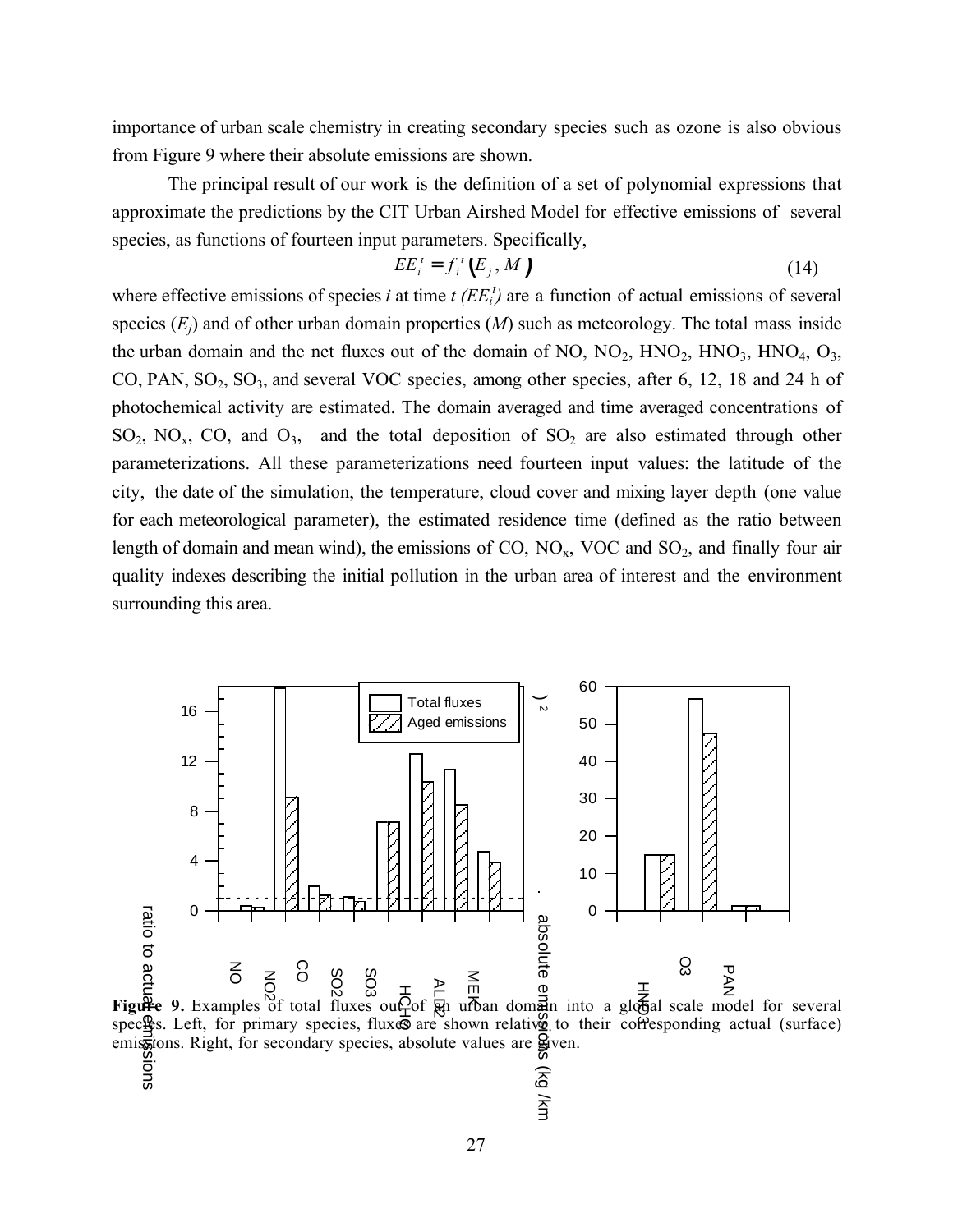importance of urban scale chemistry in creating secondary species such as ozone is also obvious from Figure 9 where their absolute emissions are shown.

The principal result of our work is the definition of a set of polynomial expressions that approximate the predictions by the CIT Urban Airshed Model for effective emissions of several species, as functions of fourteen input parameters. Specifically,

$$
EE_i^t = f_i^t(E_j, M)
$$
 (14)

where effective emissions of species *i* at time  $t$  ( $EE_i^t$ ) are a function of actual emissions of several species  $(E_i)$  and of other urban domain properties  $(M)$  such as meteorology. The total mass inside the urban domain and the net fluxes out of the domain of NO,  $NO_2$ ,  $HNO_2$ ,  $HNO_3$ ,  $HNO_4$ ,  $O_3$ , CO, PAN,  $SO_2$ ,  $SO_3$ , and several VOC species, among other species, after 6, 12, 18 and 24 h of photochemical activity are estimated. The domain averaged and time averaged concentrations of  $SO_2$ ,  $NO_x$ ,  $CO$ , and  $O_3$ , and the total deposition of  $SO_2$  are also estimated through other parameterizations. All these parameterizations need fourteen input values: the latitude of the city, the date of the simulation, the temperature, cloud cover and mixing layer depth (one value for each meteorological parameter), the estimated residence time (defined as the ratio between length of domain and mean wind), the emissions of CO,  $NO<sub>x</sub>$ , VOC and  $SO<sub>2</sub>$ , and finally four air quality indexes describing the initial pollution in the urban area of interest and the environment surrounding this area.

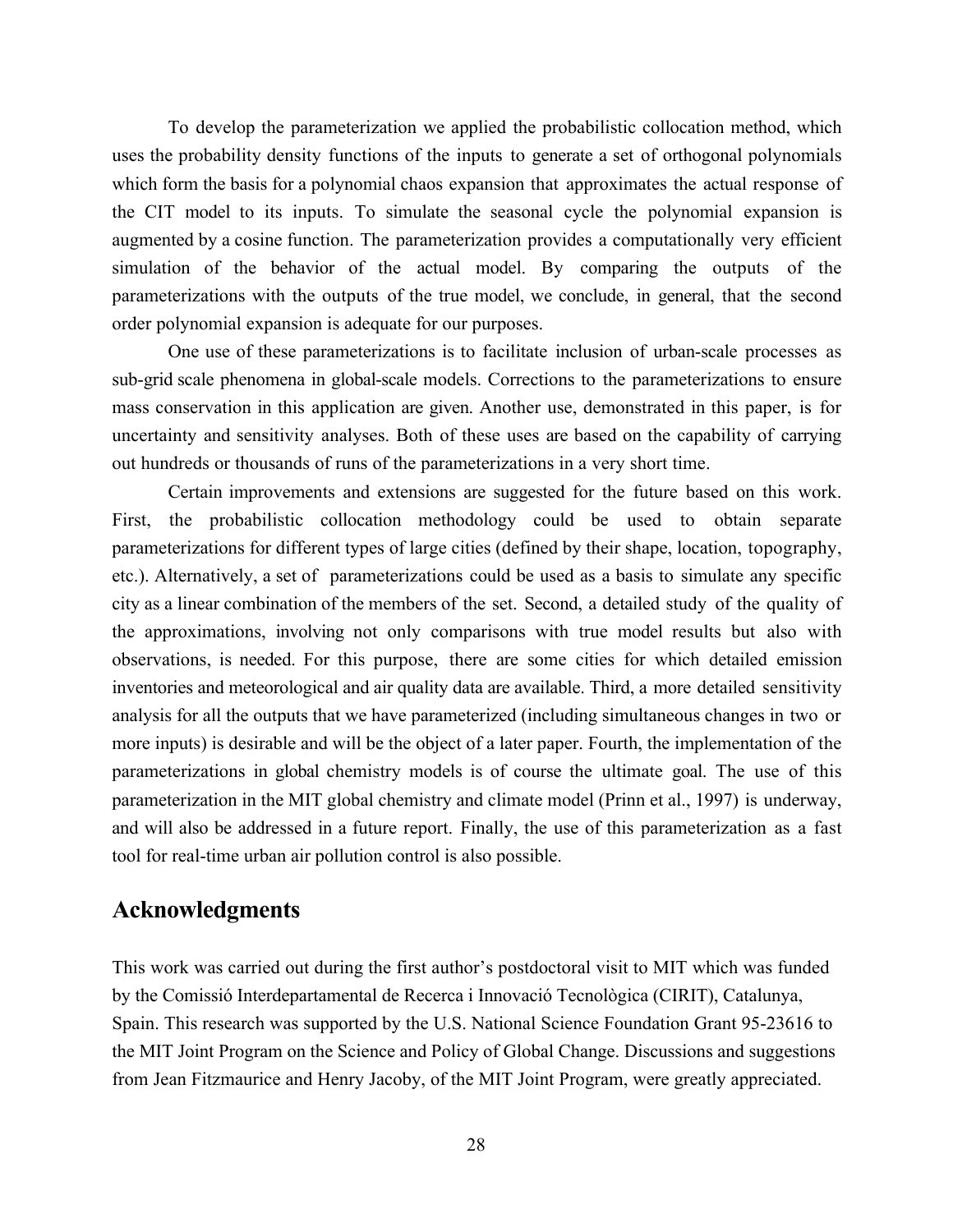To develop the parameterization we applied the probabilistic collocation method, which uses the probability density functions of the inputs to generate a set of orthogonal polynomials which form the basis for a polynomial chaos expansion that approximates the actual response of the CIT model to its inputs. To simulate the seasonal cycle the polynomial expansion is augmented by a cosine function. The parameterization provides a computationally very efficient simulation of the behavior of the actual model. By comparing the outputs of the parameterizations with the outputs of the true model, we conclude, in general, that the second order polynomial expansion is adequate for our purposes.

One use of these parameterizations is to facilitate inclusion of urban-scale processes as sub-grid scale phenomena in global-scale models. Corrections to the parameterizations to ensure mass conservation in this application are given. Another use, demonstrated in this paper, is for uncertainty and sensitivity analyses. Both of these uses are based on the capability of carrying out hundreds or thousands of runs of the parameterizations in a very short time.

Certain improvements and extensions are suggested for the future based on this work. First, the probabilistic collocation methodology could be used to obtain separate parameterizations for different types of large cities (defined by their shape, location, topography, etc.). Alternatively, a set of parameterizations could be used as a basis to simulate any specific city as a linear combination of the members of the set. Second, a detailed study of the quality of the approximations, involving not only comparisons with true model results but also with observations, is needed. For this purpose, there are some cities for which detailed emission inventories and meteorological and air quality data are available. Third, a more detailed sensitivity analysis for all the outputs that we have parameterized (including simultaneous changes in two or more inputs) is desirable and will be the object of a later paper. Fourth, the implementation of the parameterizations in global chemistry models is of course the ultimate goal. The use of this parameterization in the MIT global chemistry and climate model (Prinn et al., 1997) is underway, and will also be addressed in a future report. Finally, the use of this parameterization as a fast tool for real-time urban air pollution control is also possible.

# **Acknowledgments**

This work was carried out during the first author's postdoctoral visit to MIT which was funded by the Comissió Interdepartamental de Recerca i Innovació Tecnològica (CIRIT), Catalunya, Spain. This research was supported by the U.S. National Science Foundation Grant 95-23616 to the MIT Joint Program on the Science and Policy of Global Change. Discussions and suggestions from Jean Fitzmaurice and Henry Jacoby, of the MIT Joint Program, were greatly appreciated.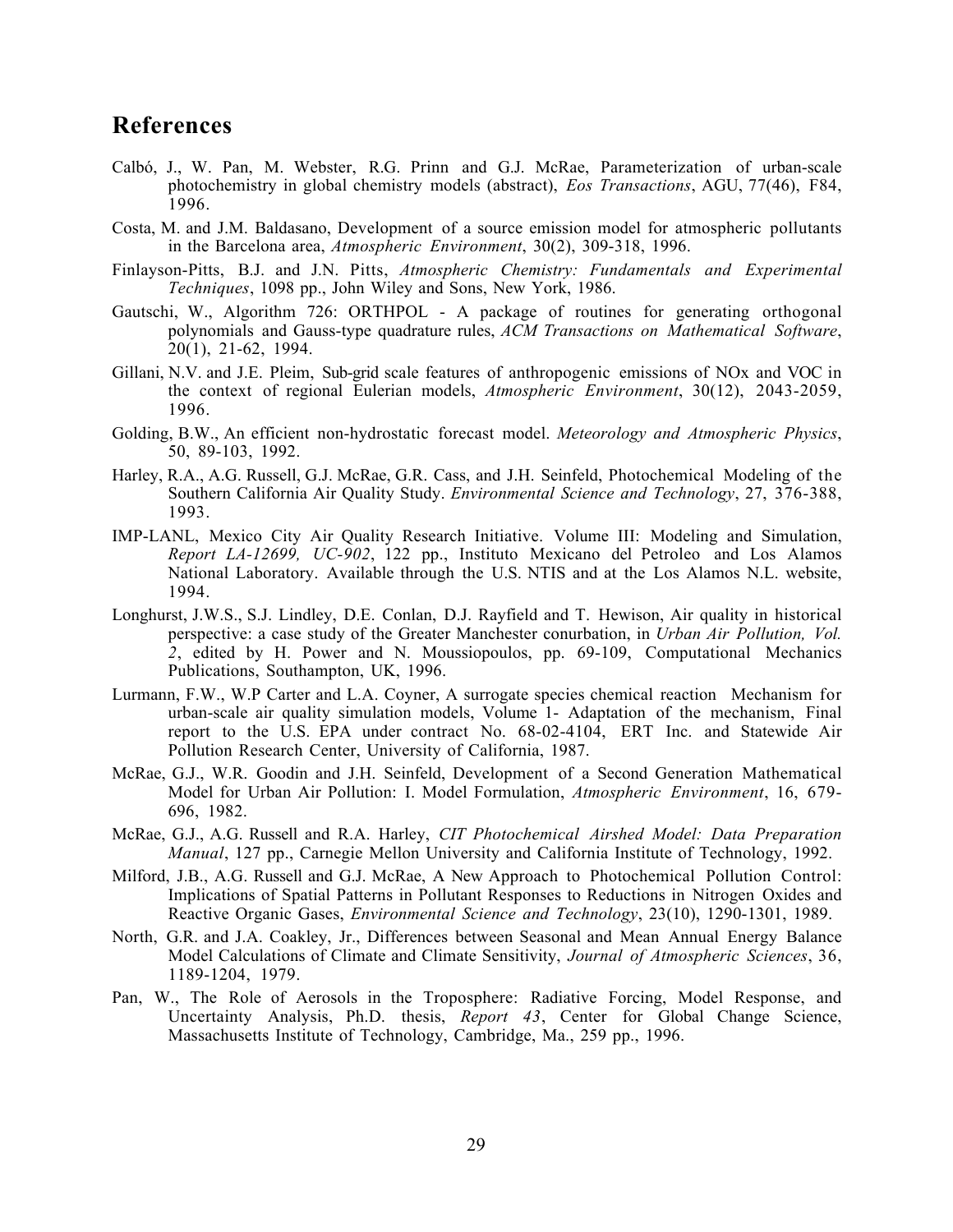# **References**

- Calbó, J., W. Pan, M. Webster, R.G. Prinn and G.J. McRae, Parameterization of urban-scale photochemistry in global chemistry models (abstract), *Eos Transactions*, AGU, 77(46), F84, 1996.
- Costa, M. and J.M. Baldasano, Development of a source emission model for atmospheric pollutants in the Barcelona area, *Atmospheric Environment*, 30(2), 309-318, 1996.
- Finlayson-Pitts, B.J. and J.N. Pitts, *Atmospheric Chemistry: Fundamentals and Experimental Techniques*, 1098 pp., John Wiley and Sons, New York, 1986.
- Gautschi, W., Algorithm 726: ORTHPOL A package of routines for generating orthogonal polynomials and Gauss-type quadrature rules, *ACM Transactions on Mathematical Software*, 20(1), 21-62, 1994.
- Gillani, N.V. and J.E. Pleim, Sub-grid scale features of anthropogenic emissions of NOx and VOC in the context of regional Eulerian models, *Atmospheric Environment*, 30(12), 2043-2059, 1996.
- Golding, B.W., An efficient non-hydrostatic forecast model. *Meteorology and Atmospheric Physics*, 50, 89-103, 1992.
- Harley, R.A., A.G. Russell, G.J. McRae, G.R. Cass, and J.H. Seinfeld, Photochemical Modeling of the Southern California Air Quality Study. *Environmental Science and Technology*, 27, 376-388, 1993.
- IMP-LANL, Mexico City Air Quality Research Initiative. Volume III: Modeling and Simulation, *Report LA-12699, UC-902*, 122 pp., Instituto Mexicano del Petroleo and Los Alamos National Laboratory. Available through the U.S. NTIS and at the Los Alamos N.L. website, 1994.
- Longhurst, J.W.S., S.J. Lindley, D.E. Conlan, D.J. Rayfield and T. Hewison, Air quality in historical perspective: a case study of the Greater Manchester conurbation, in *Urban Air Pollution, Vol. 2*, edited by H. Power and N. Moussiopoulos, pp. 69-109, Computational Mechanics Publications, Southampton, UK, 1996.
- Lurmann, F.W., W.P Carter and L.A. Coyner, A surrogate species chemical reaction Mechanism for urban-scale air quality simulation models, Volume 1- Adaptation of the mechanism, Final report to the U.S. EPA under contract No. 68-02-4104, ERT Inc. and Statewide Air Pollution Research Center, University of California, 1987.
- McRae, G.J., W.R. Goodin and J.H. Seinfeld, Development of a Second Generation Mathematical Model for Urban Air Pollution: I. Model Formulation, *Atmospheric Environment*, 16, 679- 696, 1982.
- McRae, G.J., A.G. Russell and R.A. Harley, *CIT Photochemical Airshed Model: Data Preparation Manual*, 127 pp., Carnegie Mellon University and California Institute of Technology, 1992.
- Milford, J.B., A.G. Russell and G.J. McRae, A New Approach to Photochemical Pollution Control: Implications of Spatial Patterns in Pollutant Responses to Reductions in Nitrogen Oxides and Reactive Organic Gases, *Environmental Science and Technology*, 23(10), 1290-1301, 1989.
- North, G.R. and J.A. Coakley, Jr., Differences between Seasonal and Mean Annual Energy Balance Model Calculations of Climate and Climate Sensitivity, *Journal of Atmospheric Sciences*, 36, 1189-1204, 1979.
- Pan, W., The Role of Aerosols in the Troposphere: Radiative Forcing, Model Response, and Uncertainty Analysis, Ph.D. thesis, *Report 43*, Center for Global Change Science, Massachusetts Institute of Technology, Cambridge, Ma., 259 pp., 1996.